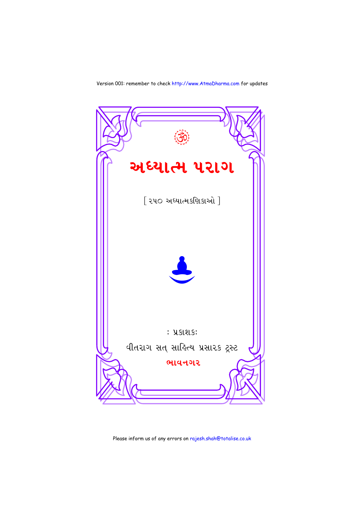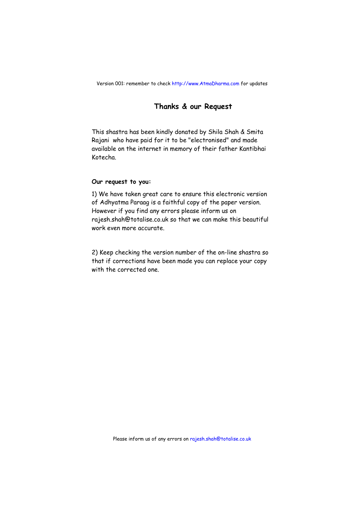#### **Thanks & our Request**

This shastra has been kindly donated by Shila Shah & Smita Rajani who have paid for it to be "electronised" and made available on the internet in memory of their father Kantibhai Kotecha.

#### **Our request to you:**

1) We have taken great care to ensure this electronic version of Adhyatma Paraag is a faithful copy of the paper version. However if you find any errors please inform us on rajesh.shah@totalise.co.uk so that we can make this beautiful work even more accurate.

2) Keep checking the version number of the on-line shastra so that if corrections have been made you can replace your copy with the corrected one.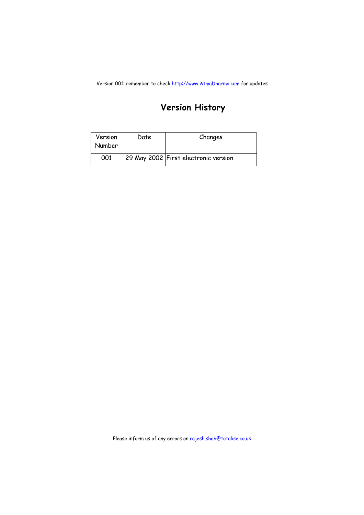### **Version History**

| Version<br>Number | Date | Changes                               |
|-------------------|------|---------------------------------------|
| 001               |      | 29 May 2002 First electronic version. |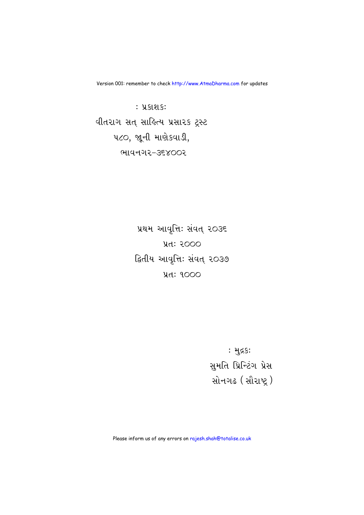: પ્રકાશક<mark>ઃ</mark> पीतराग सत् साड़ित्य प्रसारड ट्रस्ट uco, જાની માણેકવાડી, ભાવનગર-૩૬૪૦૦૨

> પ્રથમ આવૃત્તિ: સંવત્ ૨૦૩૬ **yd: २०००** દ્વિતીય આવૃત્તિ: સંવત્ ૨૦૩૭  $4d: 9000$

> > : મુદ્રક<mark>:</mark> સુમતિ પ્રિન્ટિંગ પ્રેસ સોનગઢ (સૌરાષ્ટ્ર)

Please inform us of any errors on rajesh.shah@totalise.co.uk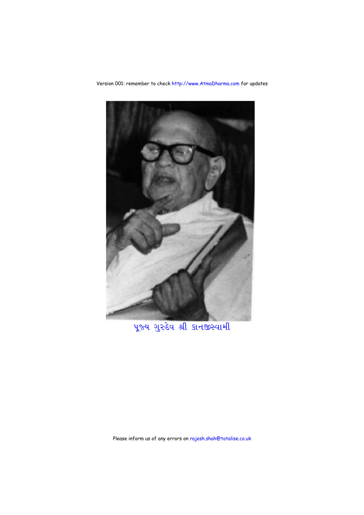

पूरुय गुरुदेव श्री प्रन करवामी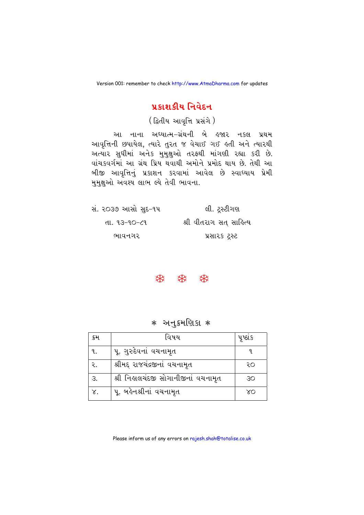#### પ્રકાશકીય નિવેદન

(द्वितीय આવૃत्ति प्रसंगे)

આ નાના અધ્યાત્મ–ગ્રંથની બે હજાર નકલ પ્રથમ આવૃત્તિની છપાયેલ, ત્યારે તુરત જ વેચાઈ ગઈ હતી અને ત્યારથી અત્યાર સુધીમાં અનેક મુમુક્ષુઓ તરફથી માંગણી રહ્યા કરી છે. વાંચકવર્ગમાં આ ગ્રંથ પ્રિય થવાથી અમોને પ્રમોદ થાય છે. તેથી આ બીજી આવૃત્તિનું પ્રકાશન કરવામાં આવેલ છે સ્વાધ્યાય પ્રેમી મુમક્ષુઓ અવશ્ય લાભ લ્યે તેવી ભાવના.

| સં. ૨૦૩૭ આસો સુદ−૧૫ | લી. ટ્રસ્ટીગણ          |
|---------------------|------------------------|
| તા. ૧૩–૧૦–૮૧        | શ્રી વીતરાગ સત સાહિત્ય |
| ભાવનગર              | પ્રસારક ટ્રસ્ટ         |

#### **株 森 森**

#### **∗ અનુક્રમણિકા ∗**

| ક્રમ     | વિષય                                | પૃષ્ઠાક |
|----------|-------------------------------------|---------|
| ٩.       | પૂ. ગુરુદેવનાં વચનામૃત              |         |
| ર.       | શ્રીમદ્દ રાજચંદ્રજીનાં વચનામૃત      | २०      |
| З.       | શ્રી નિહાલચંદજી સોગાનીજીનાં વચનામૃત | 30      |
| $\chi$ . | પૂ. બહેનશ્રીનાં વચનામૃત             | ΧO      |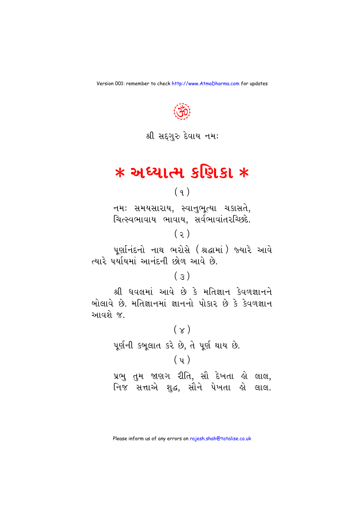

# $*$  અધ્યાત્મ કણિકા  $*$

## $(9)$

નમઃ સમયસારાય, સ્વાનુભૃત્યા ચકાસતે, ચિત્સ્વભાવાય ભાવાય, સર્વભાવાંતરચ્છિદે.  $(5)$ 

પૂર્ણાનંદનો નાથ ભરોસે (શ્રદ્ધામાં) જ્યારે આવે ત્યારે પર્યાયમાં આનંદની છોળ આવે છે.

## $(5)$

શ્રી ધવલમાં આવે છે કે મતિજ્ઞાન કેવળજ્ઞાનને બોલાવે છે. મતિજ્ઞાનમાં જ્ઞાનનો પોકાર છે કે કેવળજ્ઞાન આવશે જ

# $(\times)$ પૂર્ણની કબૂલાત કરે છે, તે પૂર્ણ થાય છે.  $(y)$

પ્રભુ તુમ જાણગ રીતિ, સૌ દેખતા હો લાલ, નિજ સત્તાએ શુદ્ધ, સૌને પેખતા હો લાલ.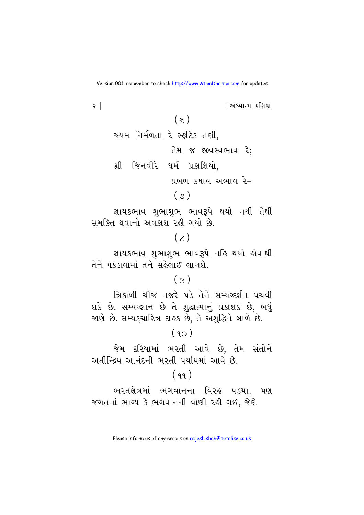$\overline{\epsilon}$ <u>શિક્ષાત્મ કશિકા</u>  $(\epsilon)$ જ્યમ નિર્મળતા રે સ્ફટિક તણી. તેમ જ જીવસ્વભાવ રે: શ્રી જિનવીરે ધર્મ પ્રકાશિયો, પ્રબળ કૃષાય અભાવ રે–  $(g)$ જ્ઞાયકભાવ શુભાશુભ ભાવરૂપે થયો નથી તેથી

સમૂકિત થવાનો અવકાશ રહી ગયો છે.

## $(7)$

જ્ઞાયકભાવ શુભાશુભ ભાવરૂપે નહિ થયો હોવાથી તેને પકડાવામાં તને સહેલાઈ લાગશે.

## $(\sim)$

ત્રિકાળી ચીજ નજરે પડે તેને સમ્યગ્દર્શન પચવી શકે છે. સમ્યગ્જ્ઞાન છે તે શુદ્ધાત્માનું પ્રકાશક છે, બધું જાણે છે. સમ્યક્ચારિત્ર દાહક છે, તે અશુદ્ધિને બાળે છે.

### $(90)$

જેમ દરિયામાં ભરતી આવે છે, તેમ સંતોને અતીન્દિય આનંદની ભરતી પર્યાયમાં આવે છે

#### $(99)$

ભરતક્ષેત્રમાં ભગવાનના વિરહ પડયા. પણ જગતનાં ભાગ્ય કે ભગવાનની વાણી રહી ગઈ, જેણે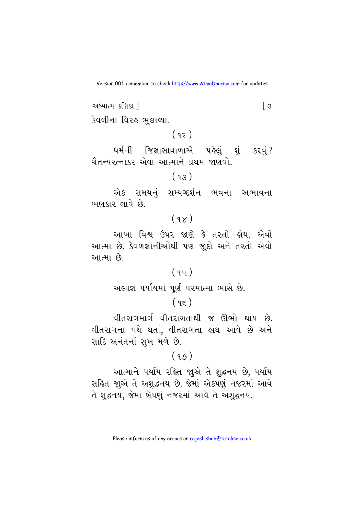અધ્યાત્મ કણિકા !  $\sqrt{3}$ 

કેવળીના વિરઙ ભુલાવ્યા.

 $(92)$ 

ધર્મની જિજ્ઞાસાવાળાએ પહેલું શું કરવું? ચૈતન્યરત્નાકર એવા આત્માને પ્રથમ જાણવો.

#### $(93)$

એક સમયનં સમ્યગ્દર્શન ભવના અભાવના ભણકાર લાવે છે.

## $(9x)$

આખા વિશ્વ ઉપર જાણે કે તરતો હોય, એવો આત્મા છે. કેવળજ્ઞાનીઓથી પણ જાુદો અને તરતો એવો આત્મા છે.

## $(94)$

અલ્પજ્ઞ પર્યાયમાં પૂર્ણ પરમાત્મા ભાસે છે.

## $(95)$

વીતરાગમાર્ગ વીતરાગતાથી જ ઊભો થાય છે. વીતરાગના પંથે થતાં, વીતરાગતા હાથ આવે છે અને સાદિ અનંતનાં સખ મળે છે.

#### $(99)$

આત્માને પર્યાય રહિત જાૂએ તે શુદ્ધનય છે, પર્યાય સહિત જાુએ તે અશુદ્ધનય છે. જેમાં એકપણું નજરમાં આવે તે શુદ્ધનય, જેમાં બેપણું નજરમાં આવે તે અશુદ્ધનય.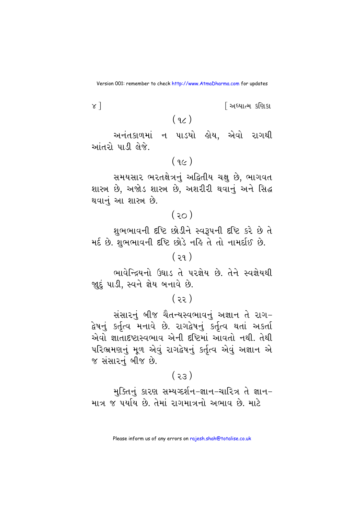<u>શિધ્યાત્મ કશિકા</u>

 $(q_{\mathcal{L}})$ 

 $x$ ]

અનંતકાળમાં ન પાડયો હોય, એવો રાગથી આંતરો પાડી લેજે.

 $(9c)$ 

સમયસાર ભરતક્ષેત્રનું અદ્વિતીય ચક્ષુ છે, ભાગવત શાસ્ત્ર છે. અજોડ શાસ્ત્ર છે. અશરીરી થવાનું અને સિદ્ધ થવાનું આ શાસ્ત્ર છે.

 $(30)$ 

શુભભાવની દષ્ટિ છોડીને સ્વરૂપની દષ્ટિ કરે છે તે મર્દ છે. શુભભાવની દૃષ્ટિ છોડે નહિ તે તો નામર્દાઈ છે.

 $(39)$ 

ભાવેન્દ્રિયનો ઉઘાડ તે પરજ્ઞેય છે. તેને સ્વજ્ઞેયથી જાદું પાડી, સ્વને જ્ઞેય બનાવે છે.

 $(33)$ 

સંસારનં બીજ ચૈતન્યસ્વભાવનં અજ્ઞાન તે રાગ-દ્વેષનું કર્તૃત્વ મનાવે છે. રાગદ્વેષનું કર્તૃત્વ થતાં અકર્તા એવો જ્ઞાતાદષ્ટાસ્વભાવ એની દૃષ્ટિમાં આવતો નથી. તેથી પરિભ્રમણનું મૂળ એવું રાગદ્વેષનું કર્તૃત્વ એવું અજ્ઞાન એ જ સંસારનું બીજ છે.

 $(55)$ 

મુક્તિનું કારણ સમ્યગ્દર્શન-જ્ઞાન-ચારિત્ર તે જ્ઞાન-માત્ર જ પર્યાય છે. તેમાં રાગમાત્રનો અભાવ છે. માટે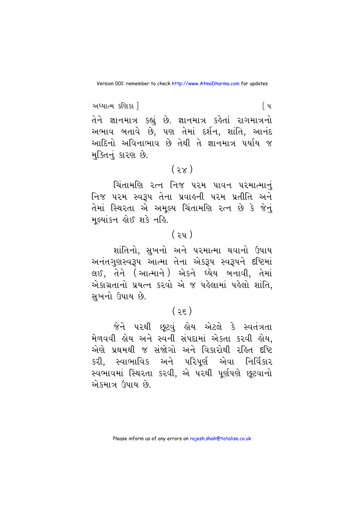અધ્યાત્મ કણિકા 1 િપ તેને જ્ઞાનમાત્ર કહ્યું છે. જ્ઞાનમાત્ર કહેતાં રાગમાત્રનો અભાવ બતાવે છે, પણ તેમાં દર્શન, શાંતિ, આનંદ આદિનો અવિનાભાવ છે તેથી તે જ્ઞાનમાત્ર પર્યાય જ મુક્તિનું કારણ છે.

## $(3x)$

ચિંતામણિ રત્ન નિજ પરમ પાવન પરમાત્માનં નિજ પરમ સ્વરૂપ તેના પ્રવાહની પરમ પ્રતીતિ અને તેમાં સ્થિરતા એ અમૂલ્ય ચિંતામણિ રત્ન છે કે જેનું મૂલ્યાંકન હોઈ શકે નહિ.

### $(3y)$

શાંતિનો, સુખનો અને પરમાત્મા થવાનો ઉપાય અનંતગુણસ્વરૂપ આત્મા તેના એકરૂપ સ્વરૂપને દષ્ટિમાં લઈ, તેને (આત્માને) એકને ઘ્યેય બનાવી, તેમાં એકાગ્રતાનો પ્રયત્ન કરવો એ જ પહેલામાં પહેલો શાંતિ. સખનો ઉપાય છે.

## $(35)$

જેને પરથી છૂટવું હોય એટલે કે સ્વતંત્રતા મેળવવી લેય અને સ્વની સંપદામાં એકતા કરવી લોય. એણે પ્રથમથી જ સંજોગો અને વિકારોથી રહિત દષ્ટિ કરી, સ્વાભાવિક અને પરિપૂર્ણ એવા નિર્વિકાર સ્વભાવમાં સ્થિરતા કરવી, એ પરથી પૂર્ણપણે છુટવાનો એકમાત્ર ઉપાય છે.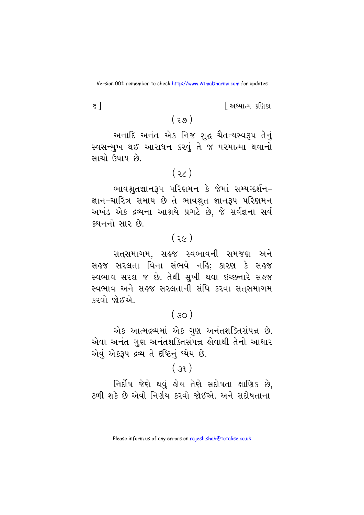<u>શિધ્યાત્મ કશિકા</u>

 $\epsilon$ ]

 $(50)$ 

અનાદિ અનંત એક નિજ શુદ્ધ ચૈતન્યસ્વરૂપ તેનું સ્વસન્મુખ થઈ આરાધન કરવું તે જ પરમાત્મા થવાનો સાચો ઉપાય છે.

 $(36)$ 

ભાવશ્રતજ્ઞાનરૂપ પરિણમન કે જેમાં સમ્યગ્દર્શન-જ્ઞાન–ચારિત્ર સમાય છે તે ભાવશ્રુત જ્ઞાનરૂપ પરિણમન અખંડ એક દ્રવ્યના આશ્રયે પ્રગટે છે, જે સર્વજ્ઞના સર્વ કથનનો સાર છે.

## $(35)$

સતસમાગમ, સહજ સ્વભાવની સમજણ અને સહજ સરલતા વિના સંભવે નહિ; કારણ કે સહજ સ્વભાવ સરલ જ છે. તેથી સુખી થવા ઇચ્છનારે સહજ સ્વભાવ અને સહજ સરલતાની સંધિ કરવા સતસમાગમ કરવો જોઈએ

## $(30)$

એક આત્મદ્રવ્યમાં એક ગણ અનંતશક્તિસંપન્ન છે. એવા અનંત ગુણ અનંતશક્તિસંપન્ન હોવાથી તેનો આધાર એવું એકરૂપ દ્રવ્ય તે દષ્ટિનું ઘ્યેય છે.

## $(39)$

નિર્દોષ જેણે થવું હોય તેણે સદોષતા ક્ષાણિક છે, ટળી શકે છે એવો નિર્ણય કરવો જોઈએ. અને સદોષતાના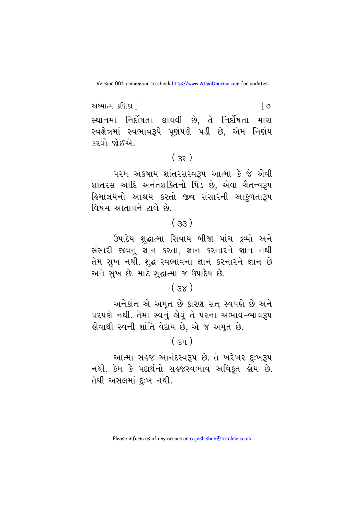અધ્યાત્મ કણિકા ! । ७ સ્થાનમાં નિર્દોષતા લાવવી છે. તે નિર્દોષતા મારા સ્વક્ષેત્રમાં સ્વભાવરૂપે પૂર્ણપણે પડી છે, એમ નિર્ણય કરવો જોઈએ.

## $(33)$

પરમ અકષાય શાંતરસસ્વરૂપ આત્મા કે જે એવી શાંતરસ આદિ અનંતશક્તિનો પિંડ છે. એવા ચૈતન્યરૂપ હિમાલયનો આશ્રય કરતો જીવ સંસારની આકુળતા<mark>રૂ</mark>પ વિષમ આતાપને ટાળે છે.

## $(33)$

ઉપાદેય શુદ્ધાત્મા સિવાય બીજા પાંચ દ્રવ્યો અને સંસારી જીવનું જ્ઞાન કરતા, જ્ઞાન કરનારને જ્ઞાન નથી તેમ સખ નથી. શદ્ધ સ્વભાવના જ્ઞાન કરનારને જ્ઞાન છે અને સુખ છે. માટે શુદ્ધાત્મા જ ઉપાદેય છે.

## $(3x)$

અનેકાંત એ અમૃત છે કારણ સત સ્વપણે છે અને પરપણે નથી. તેમાં સ્વનું કોવું તે પરના અભાવ-ભાવરૂપ હોવાથી સ્વની શાંતિ વેદાય છે, એ જ અમૃત છે.

#### $(3y)$

આત્મા સહજ આનંદસ્વરૂપ છે. તે ખરેખર દુઃખરૂપ નથી. કેમ કે પદાર્થનો સહજસ્વભાવ અવિકુત હોય છે. તેથી અસલમાં દુઃખ નથી.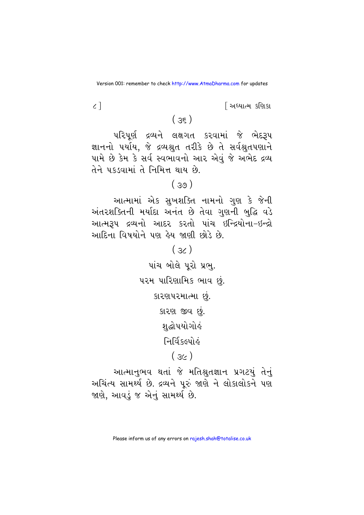<u>શિયાત્મ કશિકા</u>

 $\zeta$ ]

 $(35)$ 

પરિપૂર્ણ દ્રવ્યને લક્ષગત કરવામાં જે ભેદરૂપ જ્ઞાનનો પર્યાય, જે દ્રવ્યશ્રુત તરીકે છે તે સર્વશ્રુતપણાને પામે છે કેમ કે સર્વ સ્વભાવનો આર એવું જે અભેદ દ્રવ્ય તેને પકડવામાં તે નિમિત્ત થાય છે.

 $(39)$ 

આત્મામાં એક સુખશક્તિ નામનો ગુણ કે જેની અંતરશક્તિની મર્યાદા અનંત છે તેવા ગુણની બુદ્ધિ વડે આત્મરૂપ દ્રવ્યનો આદર કરતો પાંચ ઇન્દ્રિયોના-ઇન્દ્રો આદિના વિષયોને પણ હેય જાણી છોડે છે.

> $(s<sub>c</sub>)$ પાંચ બોલે પરો પ્રભ. પરમ પારિણામિક ભાવ છું. કારણપરમાત્મા છું. કારણ જીવ છું. શુદ્ધોપયોગોહં निर्विहत्यों ठं

> > $(36)$

આત્માનુભવ થતાં જે મતિશ્રુતજ્ઞાન પ્રગટયું તેનું અચિંત્ય સામર્થ્ય છે. દ્રવ્યને પુરું જાણે ને લોકાલોકને પણ જાણે, આવડું જ એનું સામર્થ્ય છે.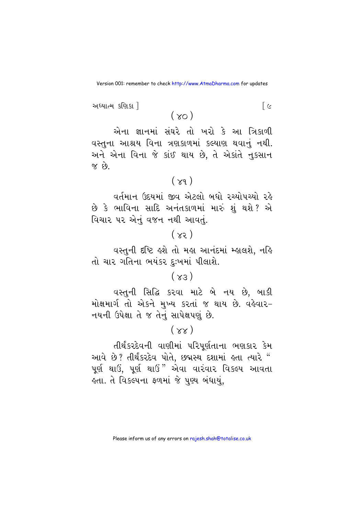અધ્યાત્મ કણિકા !

 $(\infty)$ 

 $\lceil c \rceil$ 

એના જ્ઞાનમાં સંઘરે તો ખરો કે આ ત્રિકાળી વસ્તુના આશ્રય વિના ત્રણકાળમાં કલ્યાણ થવાનું નથી. અને એના વિના જે કાંઈ થાય છે, તે એકાંતે નુકસાન  $\hat{q}$   $\hat{r}$ 

#### $(\times q)$

વર્તમાન ઉદયમાં જીવ એટલો બધો રચ્યોપચ્યો રહે છે કે ભાવિના સાદિ અનંતકાળમાં મારું શું થશે ? એ વિચાર પર એનું વજન નથી આવતું.

## $(x)$

વસ્તુની દષ્ટિ હશે તો મહા આનંદમાં મ્હાલશે, નહિ તો ચાર ગતિના ભયંકર દઃખમાં પીલાશે.

## $(x_3)$

વસ્તુની સિદ્ધિ કરવા માટે બે નય છે, બાકી મોક્ષમાર્ગતો એકને મુખ્ય કરતાં જ થાય છે. વહેવાર-નયની ઉપેક્ષા તે જ તેનું સાપેક્ષપણું છે.

 $(xx)$ 

તીર્થંકરદેવની વાણીમાં પરિપર્ણતાના ભણકાર કેમ આવે છે? તીર્થંકરદેવ પોતે, છદ્મસ્થ દશામાં હતા ત્યારે " પૂર્ણ થાઉં, પૂર્ણ થાઉં" એવા વારંવાર વિકલ્પ આવતા હતા. તે વિકલ્પના ફળમાં જે પુણ્ય બંધાયું,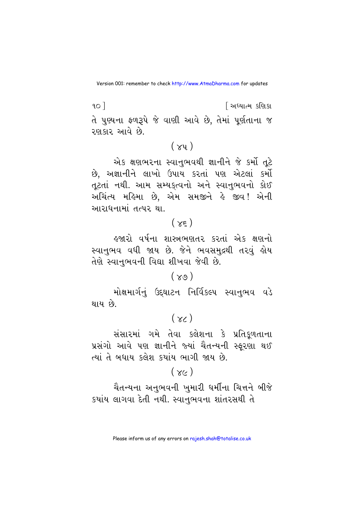$90<sup>1</sup>$ <u>શિક્ષાત્મ કશિકા</u> તે પુણ્યના ફળરૂપે જે વાણી આવે છે, તેમાં પૂર્ણતાના જ રણકાર આવે છે.

## $(xy)$

એક ક્ષણભરના સ્વાનુભવથી જ્ઞાનીને જે કર્મો તૂટે છે, અજ્ઞાનીને લાખો ઉપાય કરતાં પણ એટલાં કર્મો તટતાં નથી. આમ સમ્યક્ત્વનો અને સ્વાનભવનો કોઈ અચિંત્ય મહિમા છે, એમ સમજીને હે જીવ! એની આરાધનામાં તત્પર થા.

## $(\times \epsilon)$

હજારો વર્ષના શાસ્ત્રભણતર કરતાં એક ક્ષણનો સ્વાનુભવ વધી જાય છે. જેને ભવસમુદ્રથી તરવું હોય તેણે સ્વાનભવની વિદ્યા શીખવા જેવી છે.

#### $(\gamma_9)$

મોક્ષમાર્ગનું ઉદ્દઘાટન નિર્વિકલ્પ સ્વાનુભવ વડે થાય છે.

## $(x<sub>0</sub>)$

સંસારમાં ગમે તેવા કલેશના કે પ્રતિકળતાના પ્રસંગો આવે પણ જ્ઞાનીને જ્યાં ચૈતન્યની સ્ફરણા થઈ ત્યાં તે બધાય કલેશ કયાંય ભાગી જાય છે.

## $(x<sub>k</sub>)$

ચૈતન્યના અનુભવની ખુમારી ધર્મીના ચિત્તને બીજે કયાંય લાગવા દેતી નથી. સ્વાનુભવના શાંતરસથી તે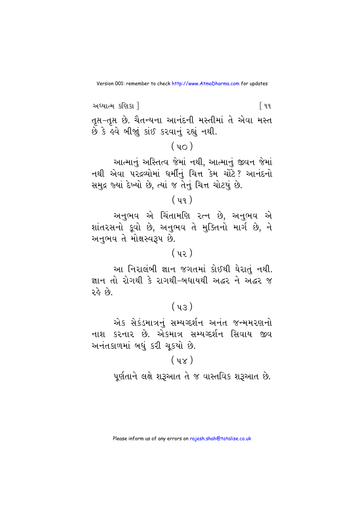અધ્યાત્મ કણિકા 1 િ ૧૧ તૃપ્ત-તૃપ્ત છે. ચૈતન્યના આનંદની મસ્તીમાં તે એવા મસ્ત છે કે હવે બીજાં કાંઈ કરવાનું રહ્યું નથી.

## $(40)$

આત્માનું અસ્તિત્વ જેમાં નથી, આત્માનું જીવન જેમાં નથી એવા પરદ્રવ્યોમાં ધર્મીનું ચિત્ત કેમ ચોંટે? આનંદનો સમુદ્ર જ્યાં દેખ્યો છે. ત્યાં જ તેનું ચિત્ત ચોટયું છે.

## $(yq)$

અનુભવ એ ચિંતામણિ ૨ત્ન છે, અનુભવ એ શાંતરસનો કુવો છે, અનુભવ તે મુક્તિનો માર્ગ છે, ને અનુભવ તે મોક્ષસ્વરૂપ છે.

## $(yz)$

આ નિરાલંબી જ્ઞાન જગતમાં કોઈથી ઘેરાતં નથી. જ્ઞાન તો રોગથી કે રાગથી-બધાયથી અદ્ધર ને અદ્ધર જ રહે છે.

## $(y_3)$

એક સેકંડમાત્રનું સમ્યગ્દર્શન અનંત જન્મમરણનો નાશ કરનાર છે. એકમાત્ર સમ્યગ્દર્શન સિવાય જીવ અનંતકાળમાં બધું કરી ચકચો છે.

#### $(y_{\chi})$

પૂર્ણતાને લક્ષે શરૂઆત તે જ વાસ્તવિક શરૂઆત છે.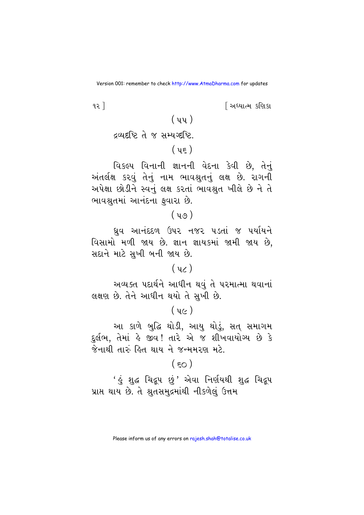<u>શિક્ષાત્મ કશિકા</u>

 $92<sup>1</sup>$ 

$$
(\mathbf{u}\mathbf{s})
$$

 $(m)$ 

વિકલ્પ વિનાની જ્ઞાનની વેદના કેવી છે, તેનું અંતર્લક્ષ કરવું તેનું નામ ભાવશ્રુતનું લક્ષ છે. રાગની અપેક્ષા છોડીને સ્વનું લક્ષ કરતાં ભાવશ્રત ખીલે છે ને તે ભાવશ્રુતમાં આનંદના ફવારા છે.

ઘ્રુવ આનંદદળ ઉપર નજર ૫ડતાં જ ૫યશિને વિસામો મળી જાય છે. જ્ઞાન જ્ઞાયકમાં જામી જાય છે, સદાને માટે સુખી બની જાય છે.

#### $(yz)$

અવ્યક્ત પદાર્થને આધીન થવું તે પરમાત્મા થવાનાં લક્ષણ છે. તેને આધીન થયો તે સુખી છે.

## $(y<sub>0</sub>)$

આ કાળે બુદ્ધિ થોડી, આયુ થોડું, સત્ સમાગમ દર્લભ, તેમાં કે જીવ! તારે એ જ શીખવાયોગ્ય છે કે જેનાથી તારું હિત થાય ને જન્મમરણ મટે.

## $(\epsilon_0)$

<u>' હું શુદ્ધ ચિદ્રપ છું' એવા નિર્ણયથી શુદ્ધ ચિદ્રપ</u> પ્રાપ્ત થાય છે. તે શ્રુતસમુદ્રમાંથી નીકળેલું ઉત્તમ

 $(y_0)$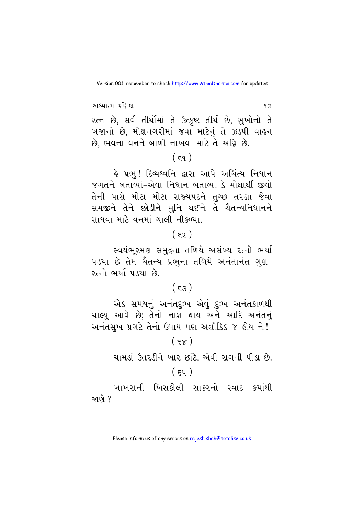અધ્યાત્મ કણિકા 1 [ ૧૩ રત્ન છે, સર્વ તીર્થોમાં તે ઉત્કૃષ્ટ તીર્થ છે, સુખોનો તે ખજાનો છે, મોક્ષનગરીમાં જવા માટેનું તે ઝડપી વાહન છે. ભવના વનને બાળી નાખવા માટે તે અગ્નિ છે.

## $(59)$

હે પ્રભુ! દિવ્યધ્વનિ દ્વારા આપે અચિંત્ય નિધાન જગતને બતાવ્યાં-એવાં નિધાન બતાવ્યાં કે મોક્ષાર્થી જીવો તેની પાસે મોટા મોટા રાજ્યપદને તુચ્છ તરણા જેવા સમજીને તેને છોડીને મુનિ થઈને તે ચૈતન્યનિધાનને સાધવા માટે વનમાં ચાલી નીકળ્યા.

## $(55)$

સ્વયંભુરમણ સમુદ્રના તળિયે અસંખ્ય રત્નો ભર્યા ૫ડયા છે તેમ ચૈતન્ય પ્રભુના તળિયે અનંતાનંત ગણ-રત્નો ભર્યા પડયા છે.

## $(53)$

એક સમયનું અનંતદુઃખ એવું દુઃખ અનંતકાળથી ચાલ્યું આવે છે; તેનો નાશ થાય અને આદિ અનંતનું અનંતસખ પ્રગટે તેનો ઉપાય પણ અલૌકિક જ હોય ને!

#### $(\epsilon \times)$

ચામડાં ઉતરડીને ખાર છાંટે, એવી રાગની પીડા છે.

### $(\epsilon y)$

ખાખરાની ખિસકોલી સાકરનો સ્વાદ કયાંથી જાણે ?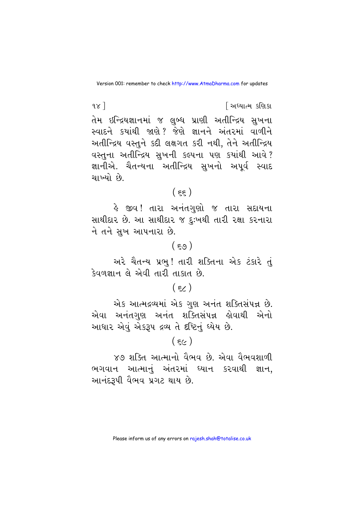$\alpha$ ] <u>શિક્ષાત્મ કશિકા</u> તેમ ઇન્દ્રિયજ્ઞાનમાં જ લુબ્ધ પ્રાણી અતીન્દ્રિય સુખના સ્વાદને કયાંથી જાણે? જેણે જ્ઞાનને અંતરમાં વાળીને અતીન્દ્રિય વસ્તુને કદી લક્ષગત કરી નથી, તેને અતીન્દ્રિય વસ્તુના અતીન્દ્રિય સુખની કલ્પના પણ કયાંથી આવે? જ્ઞાનીએ. ચૈતન્યના અતીન્દ્રિય સખનો અપર્વ સ્વાદ ચાખ્યો છે

## $(55)$

હે જીવ! તારા અનંતગુણો જ તારા સદાયના સાથીદાર છે. આ સાથીદાર જ દુઃખથી તારી રક્ષા કરનારા ને તને સુખ આપનારા છે.

#### $(\epsilon_{\vartheta})$

અરે ચૈતન્ય પ્રભુ! તારી શક્તિના એક ટંકારે તું કેવળજ્ઞાન લે એવી તારી તાકાત છે.

#### $(\epsilon)$

એક આત્મદ્રવ્યમાં એક ગુણ અનંત શક્તિસંપન્ન છે. આધાર એવું એકરૂપ દ્રવ્ય તે દૃષ્ટિનું ધ્યેય છે.

## $(\epsilon)$

૪૭ શક્તિ આત્માનો વૈભવ છે. એવા વૈભવશાળી ભગવાન આત્માનું અંતરમાં ધ્યાન કરવાથી જ્ઞાન, આનંદરૂપી વૈભવ પ્રગટ થાય છે.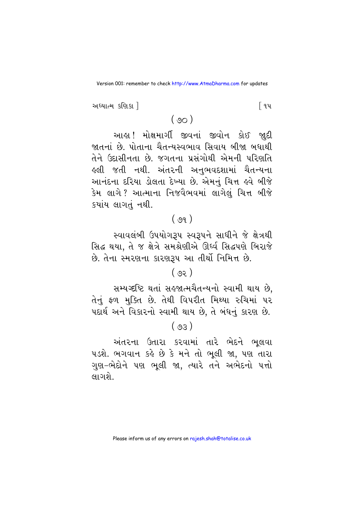અધ્યાત્મ કણિકા !

િવપ

## $(90)$

આહા ! મોક્ષમાર્ગી જીવનાં જીવોન કોઈ જાદી જાતનાં છે. પોતાના ચૈતન્યસ્વભાવ સિવાય બીજા બધાથી તેને ઉદાસીનતા છે. જગતના પ્રસંગોથી એમની પરિણતિ હલી જતી નથી. અંતરની અનભવદશામાં ચૈતન્યના આનંદના દરિયા ડોલતા દેખ્યા છે. એમનું ચિત્ત હવે બીજે કેમ લાગે? આત્માના નિજવૈભવમાં લાગેલં ચિત્ત બીજે કયાંય લાગતું નથી.

## $(99)$

સ્વાવલંબી ઉપયોગરૂપ સ્વરૂપને સાધીને જે ક્ષેત્રથી સિદ્ધ થયા, તે જ ક્ષેત્રે સમશ્રેણીએ ઊર્ધ્વ સિદ્ધપણે બિરાજે છે. તેના સ્મરણના કારણરૂપ આ તીર્થો નિમિત્ત છે.

### $(58)$

સમ્યગ્દષ્ટિ થતાં સહજાત્મચૈતન્યનો સ્વામી થાય છે. તેનું ફળ મુક્તિ છે. તેથી વિપરીત મિથ્યા રુચિમાં પર પદાર્થ અને વિકારનો સ્વામી થાય છે, તે બંધનું કારણ છે.

 $(50)$ 

અંતરના ઉતારા કરવામાં તારે ભેદને ભૂલવા ૫ડશે. ભગવાન કહે છે કે મને તો ભૂલી જા, પણ તારા ગુણ-ભેદોને પણ ભુલી જા, ત્યારે તને અભેદનો પત્તો લાગશે.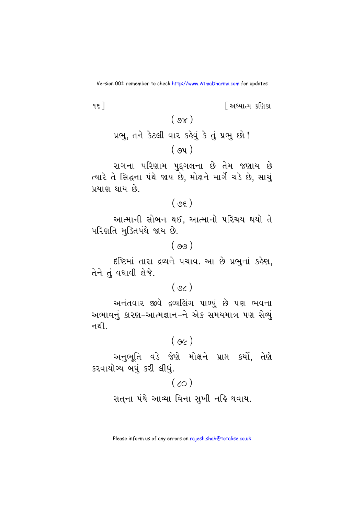$95$ ] <u>શિધ્યાત્મ કશિકા</u>  $(\gamma_8)$ પ્રભુ, તને કેટલી વાર કહેવું કે તું પ્રભુ છો !

 $(94)$ 

રાગના પરિણામ પુદગલના છે તેમ જણાય છે ત્યારે તે સિદ્ધના પંથે જાય છે, મોક્ષને માર્ગે ચડે છે, સાચું પ્રયાણ થાય છે.

 $(95)$ 

આત્માની સોબન થઈ, આત્માનો પરિચય થયો તે પરિણતિ મક્તિપંથે જાય છે.

 $(99)$ 

દષ્ટિમાં તારા દ્રવ્યને પચાવ. આ છે પ્રભુનાં કહેણ, तेने तं पधायी લेજે.

 $(96)$ 

અનંતવાર જીવે દ્રવ્યલિંગ પાળ્યું છે પણ ભવના અભાવનું કારણ-આત્મજ્ઞાન-ને એક સમયમાત્ર પણ સેવ્યું નશી. $\cdot$ 

 $(96)$ 

અનભતિ વડે જેણે મોક્ષને પ્રાપ્ત કર્યો. તેણે કરવાયોગ્ય બધું કરી લીધું.

 $(\infty)$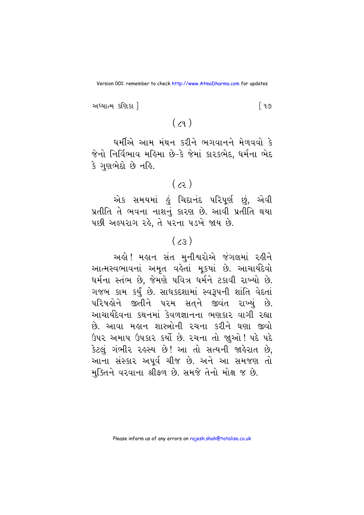અધ્યાત્મ કણિકા 1 ြ ૧૭

 $(z_9)$ 

ધર્મીએ આમ મંથન કરીને ભગવાનને મેળવવો કે જેનો નિર્વિભાવ મહિમા છે–કે જેમાં કારકભેદ, ધર્મના ભેદ કે ગુણભેદો છે નહિ.

 $(5)$ 

એક સમયમાં હું ચિદાનંદ પરિપૂર્ણ છું, એવી પ્રતીતિ તે ભવના નાશનું કારણ છે. આવી પ્રતીતિ થયા ૫છી અલ્પરાગ રહે, તે પરના ૫ડખે જાય છે.

## $(z_5)$

અલે! મહાન સંત મુનીશ્વરોએ જંગલમાં રહીને આત્મસ્વભાવનાં અમૃત વહેતાં મુકયાં છે. આચાર્યદેવો ધર્મના સ્તંભ છે. જેમણે પવિત્ર ધર્મને ટકાવી રાખ્યો છે. ગજબ કામ કર્યું છે. સાધકદશામાં સ્વરૂપની શાંતિ વેદતાં પરિષડોને જીતીને પરમ સતને જીવંત રાખ્યં છે. આચાર્યદેવના કથનમાં કેવળજ્ઞાનના ભણકાર વાગી રહ્યા છે. આવા મહાન શાસ્ત્રોની રચના કરીને ઘણા જીવો ઉપર અમાપ ઉપકાર કર્યો છે. રચના તો જાુઓ ! પદે પદે કેટલું ગંભીર રહસ્ય છે! આ તો સત્યની જાહેરાત છે, આના સંસ્કાર અપૂર્વ ચીજ છે. અને આ સમજણ તો મુક્તિને વરવાના શ્રીફળ છે. સમજે તેનો મોક્ષ જ છે.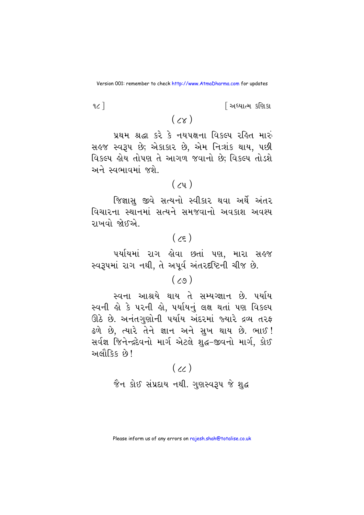<u>શિધ્યાત્મ કશિકા</u>

 $\alpha$ ]

 $(\times)$ 

પ્રથમ શ્રદ્ધા કરે કે નયપક્ષના વિકલ્પ રહિત મારું સહજ સ્વરૂપ છે; એકાકાર છે, એમ નિ:શંક થાય, પછી વિકલ્પ હોય તોપણ તે આગળ જવાનો છે; વિકલ્પ તોડશે અને સ્વભાવમાં જશે.

## $(y_1)$

જિજ્ઞાસુ જીવે સત્યનો સ્વીકાર થવા અર્થે અંતર વિચારના સ્થાનમાં સત્યને સમજવાનો અવકાશ અવશ્ય રાખવો જોઈએ.

## $(\zeta_{\xi})$

પર્યાયમાં રાગ હોવા છતાં પણ, મારા સહજ સ્વરૂપમાં રાગ નથી, તે અપૂર્વ અંતરદષ્ટિની ચીજ છે.

## $(\zeta_9)$

સ્વના આશ્રયે થાય તે સમ્યગ્જ્ઞાન છે. ૫ર્યાય સ્વની હો કે પરની હો, પર્યાયનું લક્ષ થતાં પણ વિકલ્પ ઊઠે છે. અનંતગણોની પર્યાય અંદરમાં જ્યારે દ્રવ્ય તરફ ઢળે છે. ત્યારે તેને જ્ઞાન અને સખ થાય છે. ભાઈ! સર્વજ્ઞ જિનેન્દ્રદેવનો માર્ગ એટલે શહ્ન-જીવનો માર્ગ. કોઈ અલૌકિક છે !

## $(\chi)$

જૈન કોઈ સંપ્રદાય નથી. ગુણસ્વરૂપ જે શુદ્ધ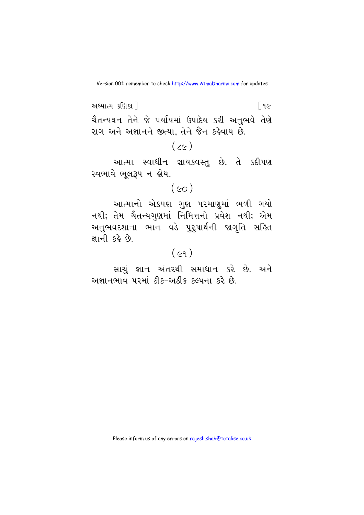અધ્યાત્મ કશિકા 1  $\lceil 9c \rceil$ ચૈતન્યઘન તેને જે પર્યાયમાં ઉપાદેય કરી અનભવે તેણે રાગ અને અજ્ઞાનને જીત્યા, તેને જૈન કહેવાય છે.

 $(\alpha)$ 

આત્મા સ્વાધીન જ્ઞાયકવસ્તુ છે. તે કદીપણ સ્વભાવે ભૂલરૂપ ન હોય.

 $(\infty)$ 

આત્માનો એકપણ ગુણ પરમાણુમાં ભળી ગયો નથી; તેમ ચૈતન્યગુણમાં નિમિત્તનો પ્રવેશ નથી; એમ અનુભવદશાના ભાન વડે પુરુષાર્થની જાગૃતિ સહિત जानी हुई हुई

## $(cq)$

સાચં જ્ઞાન અંતરથી સમાધાન કરે છે. અને અજ્ઞાનભાવ પરમાં ઠીક-અઠીક કલ્પના કરે છે.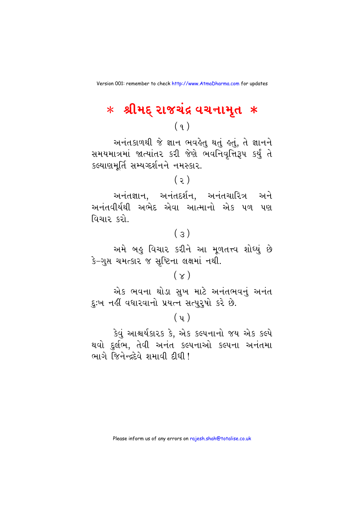# $*$  શ્રીમદ્ રાજચંદ્ર વચનામૃત $\;*$

 $(9)$ 

અનંતકાળથી જે જ્ઞાન ભવહેતુ થતું હતું, તે જ્ઞાનને સમયમાત્રમાં જાત્યાંતર કરી જેણે ભવનિવૃત્તિરૂપ કર્યું તે કલ્યાણમર્તિ સમ્યગ્દર્શનને નમસ્કાર.

 $(5)$ 

અનંતજ્ઞાન, અનંતદર્શન, અનંતચારિત્ર અને અનંતવીર્યથી અભેદ એવા આત્માનો એક ૫ળ પણ વિચાર કરો.

## $(s)$

અમે બહુ વિચાર કરીને આ મૂળતત્ત્વ શોઘ્યું છે કે-ગુપ્ત ચમત્કાર જ સૃષ્ટિના લક્ષમાં નથી.

## $(x)$

એક ભવના થોડા સુખ માટે અનંતભવનું અનંત દુઃખ નહીં વધારવાનો પ્રયત્ન સત્પુરૂષો કરે છે.

#### $(y)$

કેવું આશ્ચર્યકારક કે, એક કલ્પનાનો જય એક કલ્પે થવો દુર્લભ, તેવી અનંત કલ્પનાઓ કલ્પના અનંતમા ભાગે જિનેન્દદેવે શમાવી દીધી !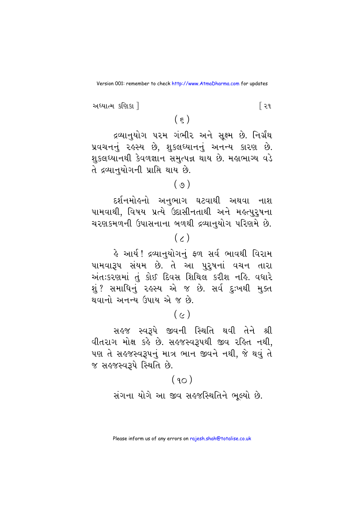રિવ

અધ્યાત્મ કણિકા ી

દ્રવ્યાનુયોગ પરમ ગંભીર અને સૂક્ષ્મ છે. નિર્ગ્રંથ પ્રવચનનું રહસ્ય છે, શુકલઘ્યાનનું અનન્ય કારણ છે. શુકલઘ્યાનથી કેવળજ્ઞાન સમૃત્પન્ન થાય છે. મહાભાગ્ય વડે તે દ્રવ્યાનુયોગની પ્રાપ્તિ થાય છે.

 $(\varphi)$ 

દર્શનમોહનો અનુભાગ ઘટવાથી અથવા નાશ પામવાથી, વિષય પ્રત્યે ઉદાસીનતાથી અને મહત્પુરૂષના ચરણકમળની ઉપાસનાના બળથી દ્રવ્યાનુયોગ પરિણમે છે.

## $(\chi)$

હે આર્ય! દ્રવ્યાનુયોગનું ફળ સર્વ ભાવથી વિરામ પામવારૂપ સંયમ છે. તે આ પુરૂષનાં વચન તારા અંતઃકરણમાં તું કોઈ દિવસ શિથિલ કરીશ નહિ. વધારે શું ?સમાધિનું ૨૬સ્ય એ જ છે. સર્વ દુઃખથી મુક્ત થવાનો અનન્ય ઉપાય એ જ છે

## $(c)$

સહજ સ્વરૂપે જીવની સ્થિતિ થવી તેને શ્રી વીતરાગ મોક્ષ કહે છે. સહજસ્વરૂપથી જીવ રહિત નથી, પણ તે સહજસ્વરૂપનું માત્ર ભાન જીવને નથી, જે થવું તે જ સહજસ્વરૂપે સ્થિતિ છે.

## $(90)$

સંગના યોગે આ જીવ સહ્જસ્થિતિને ભુલ્યો છે.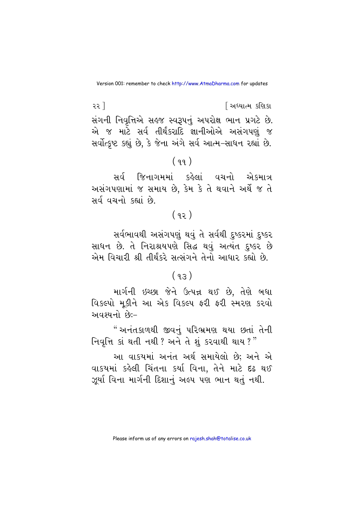૨૨ 1 <u>શિધ્યાત્મ કશિકા</u> સંગની નિવૃત્તિએ સહજ સ્વરૂપનું અપરોક્ષ ભાન પ્રગટે છે. એ જ માટે સર્વ તીર્થંકરાદિ જ્ઞાનીઓએ અસંગપણું જ સર્વોત્કૃષ્ટ કહ્યું છે, કે જેના અંગે સર્વ આત્મ-સાધન રહ્યાં છે.

#### $(99)$

સર્વ જિનાગમમાં કહેલાં વચનો એકમાત્ર અસંગપણામાં જ સમાય છે, કેમ કે તે થવાને અર્થે જ તે સર્વ વચનો કહ્યાં છે.

## $(92)$

સર્વભાવથી અસંગપણું થવું તે સર્વથી દુષ્કરમાં દુષ્કર સાધન છે. તે નિરાશ્રયપણે સિદ્ધ થવું અત્યંત દુષ્કર છે એમ વિચારી શ્રી તીર્થંકરે સત્સંગને તેનો આધાર કહ્યો છે.

## $(93)$

માર્ગની ઇચ્છા જેને ઉત્પન્ન થઈ છે, તેણે બધા વિકલ્પો મૂકીને આ એક વિકલ્પ ફરી ફરી સ્મરણ કરવો અવશ્યનો છે:-

"અનંતકાળથી જીવનં પરિભ્રમણ થયા છતાં તેની નિવૃત્તિ કાં થતી નથી? અને તે શું કરવાથી થાય?"

આ વાકયમાં અનંત અર્થ સમાયેલો છે: અને એ વાકયમાં કહેલી ચિંતના કર્યા વિના, તેને માટે દઢ થઈ ઝૂર્યા વિના માર્ગની દિશાનું અલ્પ પણ ભાન થતું નથી.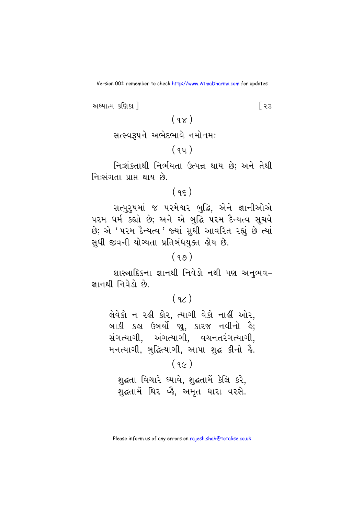અધ્યાત્મ કશિકા ી [ ၃.૩  $(98)$ 

 $(94)$ 

નિઃશંકતાથી નિર્ભયતા ઉત્પન્ન થાય છે; અને તેથી નિ:સંગતા પ્રાપ્ત થાય છે.

 $(95)$ 

સત્પુરુષમાં જ ૫૨મેશ્વર બુદ્ધિ, એને જ્ઞાનીઓએ પરમ ધર્મ કહ્યો છે; અને એ બદ્ધિ પરમ દૈન્યત્વ સચવે છે; એ ' પરમ દૈન્યત્વ ' જ્યાં સધી આવરિત રહ્યં છે ત્યાં સધી જીવની યોગ્યતા પ્રતિબંધયક્ત હોય છે.

## $(99)$

શાસ્ત્રાદિકના જ્ઞાનથી નિવેડો નથી પણ અનુભવ-જ્ઞાનથી નિવેડો છે.

## $(9)$

લેવેકો ન રહી કોર, ત્યાગી વેકો નાહીં ઓર, બાકી કહ્ય ઉબર્યો જા, કારજ નવીનો હૈ; સંગત્યાગી, અંગત્યાગી, વચનતરંગત્યાગી, મનત્યાગી, બુદ્ધિત્યાગી, આપા શહ્ન કીનો હૈ.

## $(9c)$

શુદ્ધતા વિચારે ઘ્યાવે, શુદ્ધતામેં કેલિ કરે, શહતામેં થિર વ્હૈ, અમૃત ધારા વરસે.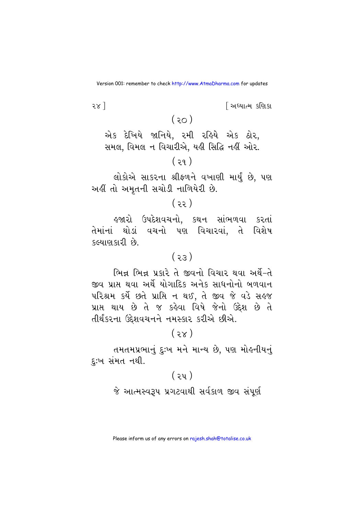$281$ 

<u>શિધ્યાત્મ કશિકા</u>

## $(50)$

એક દેખિયે જાનિયે, રમી રહિયે એક ઠોર, સમલ, વિમલ ન વિચારીએ, યહી સિદ્ધિ નહીં ઓર.  $(39)$ 

લોકોએ સાકરના શ્રીફળને વખાણી માર્યું છે, પણ અહીં તો અમતની સચોડી નાળિયેરી છે.

#### $(35)$

હજારો ઉપદેશવચનો, કથન સાંભળવા કરતાં તેમાંનાં થોડાં વચનો પણ વિચારવાં. તે વિશેષ કલ્યાણકારી છે.

#### $(55)$

ભિન્ન ભિન્ન પ્રકારે તે જીવનો વિચાર થવા અર્થે-તે જીવ પ્રાપ્ત થવા અર્થે યોગાદિક અનેક સાધનોનો બળવાન પરિશ્રમ કર્યે છતે પ્રાપ્તિ ન થઈ, તે જીવ જે વડે સહજ પ્રાપ્ત થાય છે તે જ કહેવા વિષે જેનો ઉદ્દેશ છે તે તીર્થંકરના ઉદેશવચનને નમસ્કાર કરીએ છીએ.

## $(3x)$

તમતમપ્રભાનું દઃખ મને માન્ય છે. પણ મોહનીયનું દુ:ખ સંમત નથી.

## $(3y)$

જે આત્મસ્વરૂપ પ્રગટવાથી સર્વકાળ જીવ સંપૂર્ણ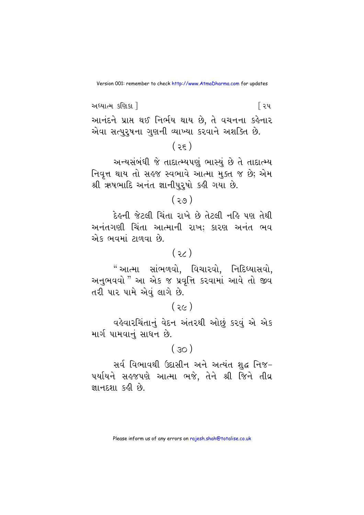અધ્યાત્મ કણિકા ! િરપ આનંદને પ્રાપ્ત થઈ નિર્ભય થાય છે, તે વચનના કહેનાર એવા સત્પુરુષના ગુણની વ્યાખ્યા કરવાને અશક્તિ છે.

 $(35)$ 

અન્યસંબંધી જે તાદાત્મ્યપણું ભાસ્યું છે તે તાદાત્મ્ય નિવૃત્ત થાય તો સહજ સ્વભાવે આત્મા મુક્ત જ છે; એમ શ્રી ઋષભાદિ અનંત જ્ઞાનીપુરૂષો કહી ગયા છે.

 $(30)$ 

દેહની જેટલી ચિંતા રાખે છે તેટલી નહિ પણ તેથી અનંતગણી ચિંતા આત્માની રાખ: કારણ અનંત ભવ એક ભવમાં ટાળવા છે.

## $(35)$

" આત્મા સાંભળવો. વિચારવો. નિદિધ્યાસવો. અનુભવવો " આ એક જ પ્રવૃત્તિ કરવામાં આવે તો જીવ તરી પાર પામે એવું લાગે છે.

 $(36)$ 

વહેવારચિંતાનું વેદન અંતરથી ઓછું કરવું એ એક માર્ગ પામવાનં સાધન છે.

## $(30)$

સર્વ વિભાવથી ઉદાસીન અને અત્યંત શુદ્ધ નિજ-પર્યાયને સહજપણે આત્મા ભજે, તેને શ્રી જિને તીવ્ર જ્ઞાનદશા કહી છે.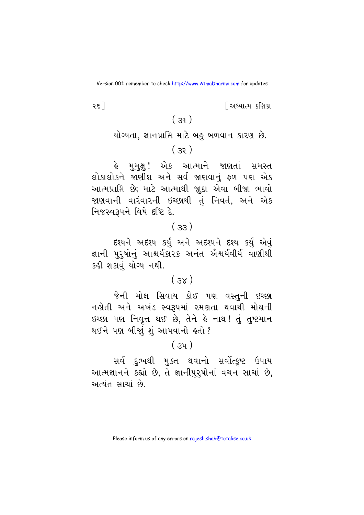<u>શિક્ષાત્મ કશિકા</u>

## $25<sup>1</sup>$

## $(39)$

યોગ્યતા, જ્ઞાનપ્રાપ્તિ માટે બહુ બળવાન કારણ છે.

## $(33)$

હે મુમુક્ષુ! એક આત્માને જાણતાં સમસ્ત લોકાલોકને જાણીશ અને સર્વ જાણવાનું ફળ પણ એક આત્મપ્રાપ્તિ છે; માટે આત્માથી જાદા એવા બીજા ભાવો જાણવાની વારંવારની ઇચ્છાથી તું નિવર્ત, અને એક નિજસ્વરૂપને વિષે દૃષ્ટિ દે.

## $(.33)$

દશ્યને અદશ્ય કર્યું અને અદશ્યને દશ્ય કર્યું એવું જ્ઞાની પુરુષોનું આશ્ચર્યકારક અનંત ઐશ્વર્યવીર્ય વાણીથી કહી શકાવં યોગ્ય નથી.

## $(3x)$

જેની મોક્ષ સિવાય કોઈ પણ વસ્તુની ઇચ્છા નહોતી અને અખંડ સ્વરૂપમાં રમણતા થવાથી મોક્ષની ઇચ્છા પણ નિવૃત્ત થઈ છે, તેને હે નાથ! તું તુષ્ટમાન થઈને પણ બીજાં શું આપવાનો હતો ?

## $(3y)$

સર્વ દુઃખથી મુક્ત થવાનો સર્વોત્કૃષ્ટ ઉપાય આત્મજ્ઞાનને કહ્યો છે, તે જ્ઞાનીપુરૂષોનાં વચન સાચાં છે, અત્યંત સાચાં છે.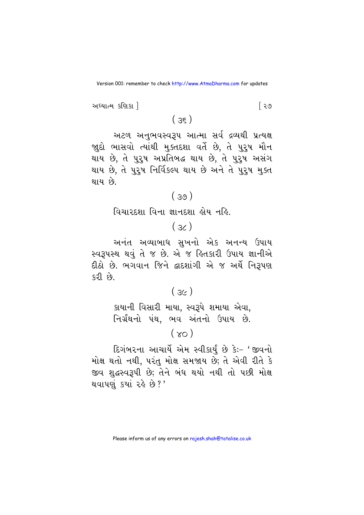અધ્યાત્મ કણિકા !

િર૭

 $(35)$ 

અટળ અનુભવસ્વરૂપ આત્મા સર્વ દ્રવ્યથી પ્રત્યક્ષ જાદો ભાસવો ત્યાંથી મુક્તદશા વર્તે છે, તે પુરુષ મૌન થાય છે, તે પુરૂષ અપ્રતિબદ્ધ થાય છે, તે પુરૂષ અસંગ થાય છે, તે પુરૂષ નિર્વિકલ્પ થાય છે અને તે પુરૂષ મુક્ત થાય છે.

#### $(39)$

વિચારદશા વિના જ્ઞાનદશા લોય નહિ.

## $(36)$

અનંત અવ્યાબાધ સુખનો એક અનન્ય ઉપાય સ્વરૂપસ્થ થવું તે જ છે. એ જ હિતકારી ઉપાય જ્ઞાનીએ દીઠો છે. ભગવાન જિને દ્વાદશાંગી એ જ અર્થે નિરૂપણ કરી છે.

## $(3c)$

કાયાની વિસારી માયા, સ્વરૂપે શમાયા એવા, નિર્ગ્રંથનો પંથ. ભવ અંતનો ઉપાય છે.

 $(x_0)$ 

દિગંબરના આચાર્યે એમ સ્વીકાર્યું છે કેઃ- 'જીવનો મોક્ષ થતો નથી, પરંતુ મોક્ષ સમજાય છે; તે એવી રીતે કે જીવ શુદ્ધસ્વરૂપી છે; તેને બંધ થયો નથી તો પછી મોક્ષ થવાપણું કર્યા રહે છે ?'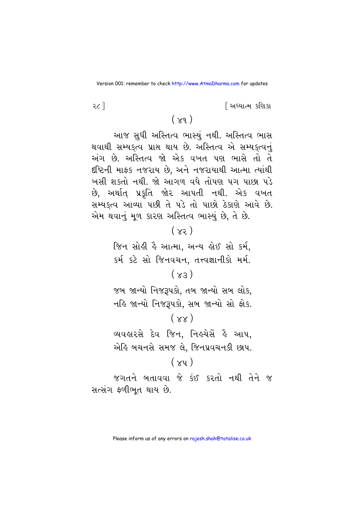<u>શિક્ષાત્મ કશિકા</u>

#### २८ ]

## $(\chi_9)$

આજ સુધી અસ્તિત્વ ભાસ્યું નથી. અસ્તિત્વ ભાસ થવાથી સમ્યકૃત્વ પ્રાપ્ત થાય છે. અસ્તિત્વ એ સમ્યકૃત્વનું અંગ છે. અસ્તિત્વ જો એક વખત પણ ભાસે તો તે દષ્ટિની માફક નજરાય છે. અને નજરાયાથી આત્મા ત્યાંથી ખસી શકતો નથી. જો આગળ વધે તોપણ પગ પાછા પડે છે, અર્થાત્ પ્રકૃતિ જોર આપતી નથી. એક વખત સમ્યક્ત્વ આવ્યા પછી તે પડે તો પાછો ઠેકાણે આવે છે. એમ થવાનું મૂળ કારણ અસ્તિત્વ ભાસ્યું છે, તે છે.

## $(xz)$

જિન સોહી હૈ આત્મા, અન્ય હોઈ સો કર્મ, કર્મ કટે સો જિનવચન. તત્ત્વજ્ઞાનીકો મર્મ.

#### $(x_3)$

જબ જાન્યો નિજરૂપકો, તબ જાન્યો સબ લોક, નહિ જાન્યો નિજરૂપકો, સબ જાન્યો સો ફોક.

## $(xx)$

વ્યવહારસે દેવ જિન, નિહચેસેં હૈ આપ, એહિ બચનસે સમજ લે. જિનપ્રવચનકી છાપ.

## $(\chi_{\rm{V}})$

જગતને બતાવવા જે કંઈ કરતો નથી તેને જ સત્સંગ ફળીભૂત થાય છે.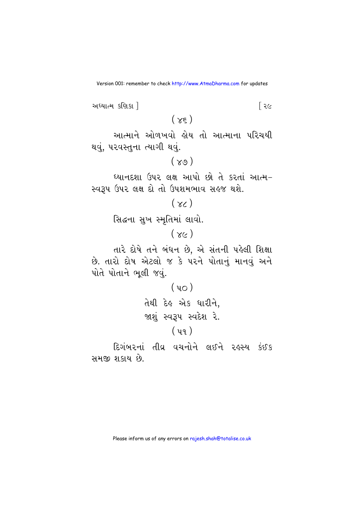અધ્યાત્મ કણિકા ! િર૯  $(\chi_{\xi})$ આત્માને ઓળખવો હોય તો આત્માના પરિચયી થવું, પરવસ્તુના ત્યાગી થવું.  $(\gamma_9)$ ધ્યાનદશા ઉપર લક્ષ આપો છો તે કરતાં આત્મ-સ્વરૂપ ઉપર લક્ષ દો તો ઉપશમભાવ સહજ થશે.  $(\gamma_{\zeta})$ સિદ્ધના સુખ સ્મૃતિમાં લાવો.  $(xc)$ તારે દોષે તને બંધન છે, એ સંતની પહેલી શિક્ષા છે. તારો દોષ એટલો જ કે પરને પોતાનું માનવું અને પોતે પોતાને ભલી જવં.  $(40)$ तेथी देड़ એક ધારીને, જાશું સ્વરૂપ સ્વદેશ રે.  $(y_9)$ દિગંબરનાં તીવ્ર વચનોને લઈને રહસ્ય કંઈક સમજી શકાય છે.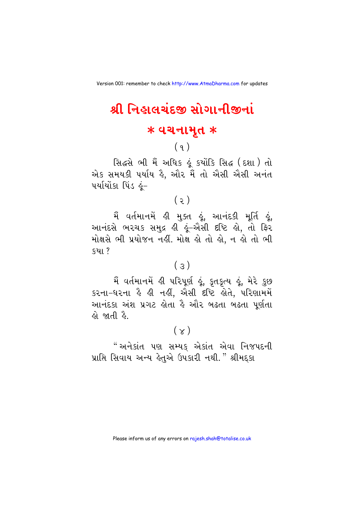## શ્રી નિહાલચંદજી સોગાનીજીનાં

#### $*$  વચનામૃત  $*$

## $(9)$

સિદ્ધસે ભી મૈં અધિક કું કર્યોકિ સિદ્ધ (દશા) તો એક સમયકી પર્યાય હૈ, ઔર મૈં તો ઐસી ઐસી અનંત પર્યાયોંકા પિંડ હું–

## $(5)$

આનંદસે ભરચક સમુદ્ર હી હૂં-ઐસી દષ્ટિ હો, તો ફિર મોક્ષસે ભી પ્રયોજન નહીં. મોક્ષ હો તો હો, ન હો તો ભી કયા ?

## $(\epsilon)$

મૈં વર્તમાનમેં હી પરિપૂર્ણ હૂં, કૃતકૃત્ય હૂં, મેરે કુછ કરના-ધરના કે ક્રી નક્ષી, એસી દષ્ટિ કોતે, પરિણામમેં આનંદકા અંશ પ્રગટ હોતા હૈ ઔર બઢતા બઢતા પર્ણતા *હો* જાતી ઢે

## $(\times)$

"અનેકાંત પણ સમ્યક એકાંત એવા નિજપદની પ્રાપ્તિ સિવાય અન્ય હેતુએ ઉપકારી નથી." શ્રીમદકા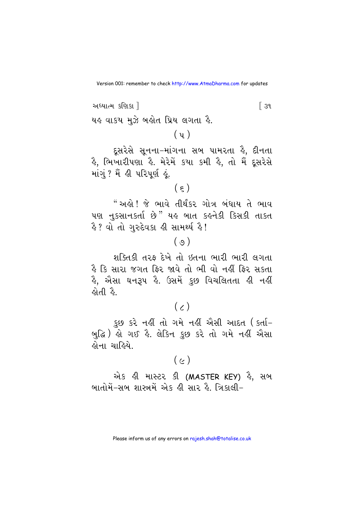અધ્યાત્મ કણિકા 1  $\sqrt{39}$ યહ વાકય મુઝે બહોત પ્રિય લગતા હૈ.

 $(y)$ 

દૂસરેસે સૂનના–માંગના સબ પામરતા ક્રે, દીનતા કૈ, ભિખારીપણા કૈ. મેરેમેં કયા કમી કૈ, તો મૈં દ્સરેસે માંગું ? મૈં હી પરિપૂર્ણ હું.

 $(\epsilon)$ 

" અહો ! જે ભાવે તીર્થંકર ગોત્ર બંધાય તે ભાવ પણ નુકસાનકર્તા છે" યહ બાત કહનેકી કિસકી તાકત .<br>કે ? વો તો ગરુદેવકા ક્રી સામર્થ્ય કે !

## $(\varphi)$

શક્તિકી તરફ દેખે તો ઇતના ભારી ભારી લગતા કૈ કિ સારા જગત ફિર જાવે તો ભી વો નહીં ફિર સકતા કે, એસા ઘનરૂપ કે. ઉસમેં કુછ વિચલિતતા ક્રી નક્ષીં કોતી કે.

 $(\chi)$ 

કુછ કરે નહીં તો ગમે નહીં ઐસી આદત (કર્તા– બુદ્ધિ) હો ગઈ હૈ. લેકિન કુછ કરે તો ગમે નહીં ઐસા હોના ચાહિયે

 $(c)$ 

એક હી માસ્ટર કી (MASTER KEY) હૈ, સબ બાતોમેં-સબ શાસ્ત્રમેં એક હી સાર હૈ. ત્રિકાલી-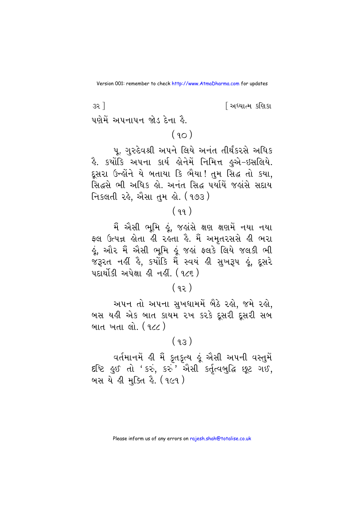<u>શિધ્યાત્મ કશિકા</u>

પણેમેં અપનાપન જોડ દેના હૈ.

 $32$ ]

 $(90)$ 

૫. ગુરુદેવશ્રી અપને લિયે અનંત તીર્થંકરસે અધિક ફૈ. કર્યોકિ અપના કાર્ય હોનેમેં નિમિત્ત હુએ-ઇસલિયે. દૂસરા ઉન્હોંને યે બતાયા કિ ભૈયા! તુમ સિદ્ધ તો કયા, સિદ્ધસે ભી અધિક હો. અનંત સિદ્ધ પર્યાયે જહાંસે સદાય નિકલતી રહે, એેસા તુમ હો. (૧૭૩ )

## $(99)$

મૈં એેસી ભૂમિ ઢૂં, જહાંસે ક્ષણ ક્ષણમેં નયા નયા ફ્લ ઉત્પન્ન હોતા હી રહતા હૈ. મૈં અમૃતરસસે હી ભરા ઢું, ઔર મૈં ઐસી ભૂમિ ઢૂં જહાં ફ્લકે લિયે જલકી ભી જરૂરત નહીં હૈ, કર્યોકિ મૈં સ્વયં હી સખરૂપ હું, દસરે પદાર્થોકી અપેક્ષા હી નહીં. (૧૮૬)

## $(92)$

અપન તો અપના સુખધામમેં બૈઠે રહો, જમે રહો, બસ યહી એક બાત કાયમ રખ કરકે દૂસરી દૂસરી સબ બાત ખતા લો. (૧૮૮)

## $(93)$

વર્તમાનમેં હી મૈં કુતકુત્ય હું એસી અપની વસ્તુમેં દષ્ટિ હુઈ તો 'કરું, કરું' એસી કર્તુત્વબુદ્ધિ છૂટ ગઈ, બસ યે હી મક્તિ હૈ. (૧૯૧)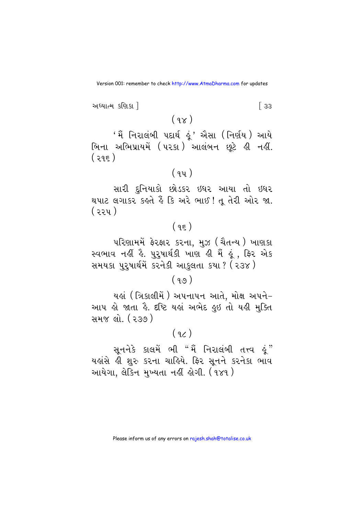અધ્યાત્મ કણિકા !  $\sqrt{33}$  $(9x)$ 

'મૈં નિરાલંબી પદાર્થ ઢૂં' ઐસા (નિર્ણય) આયે બિના અભિપ્રાયમેં (૫૨કા) આલંબન છૂટે હી નહીં.  $(295)$ 

#### $(94)$

સારી દુનિયાકો છોડકર ઇધર આયા તો ઇધર થપાટ લગાકર કહતે હૈં કિ અરે ભાઈ! તૂ તેરી ઓર જા. ( ર૨૫ )

## $(95)$

પરિણામમેં ફેરફાર કરના, મુઝ (ચૈતન્ય) ખાણકા સ્વભાવ નહીં હૈ. પુરૂષાર્થકી ખાણ હી મૈં હું , ફિર એક સમયકા પુરૂષાર્થમેં કરનેકી આકુલતા કયા ? (૨૩૪)

## $(99)$

યહાં ( ત્રિકાલીમેં ) અપનાપન આતે. મોક્ષ અપને− આપ હો જાતા હૈ. દૃષ્ટિ યહાં અભેદ હુઇ તો યહી મુક્તિ <u>સમજ લો. (૨૩૭)</u>

#### $(9)$

યહાંસે હી શુરુ કરના ચાહિયે. ફિર સૂનને કરનેકા ભાવ આયેગા, લેકિન મુખ્યતા નહીં હોગી. (૧૪૧ )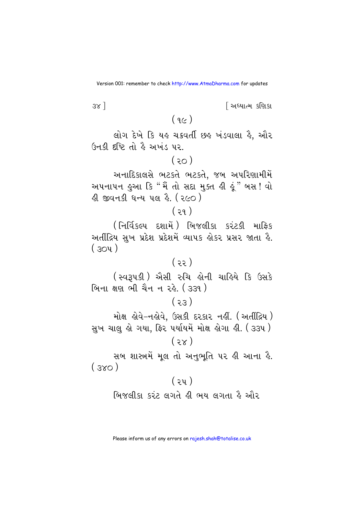$3x$ ]

<u>શિધ્યાત્મ કશિકા</u>

## $(9c)$

લોગ દેખે કિ યહ ચક્રવર્તી છહ ખંડવાલા હૈ, ઔર ઉનકી દૃષ્ટિ તો હૈ અખંડ પર.

 $(30)$ 

અનાદિકાલસે ભટકતે ભટકતે, જબ અપરિણામીમેં અપનાપન હુઆ કિ "મૈં તો સદા મુક્ત હી હું " બસ ! વો ડી જીવનકી ધન્ય ૫લ કે. ( ૨૯૦ )

#### $(29)$

(નિર્વિકલ્પ દશામેં) બિજલીકા કરંટકી માફિક અતીંદ્રિય સુખ પ્રદેશ પ્રદેશમેં વ્યાપક ોકર પ્રસર જાતા હૈ.  $(304)$ 

#### $(33)$

(स्વરૂપકી) એસી રુચિ હોની ચાહિયે કિ ઉસકે <u>બિના ક્ષણ ભી ચૈન ન રહે. ( ૩૩૧ )</u>

#### $(55)$

મોક્ષ હોવે-નહોવે, ઉસકી દરકાર નહીં. (અતીંદ્રિય) સુખ ચાલુ હો ગયા, ફિર પર્યાયમેં મોક્ષ હોગા હી. ( ૩૩૫ )  $(3x)$ 

સબ શાસ્ત્રમેં મૂલ તો અનુભૂતિ પર હી આના હૈ.  $(Sx)$ 

## $(3y)$ બિજલીકા કરંટ લગતે હી ભય લગતા હૈ ઔર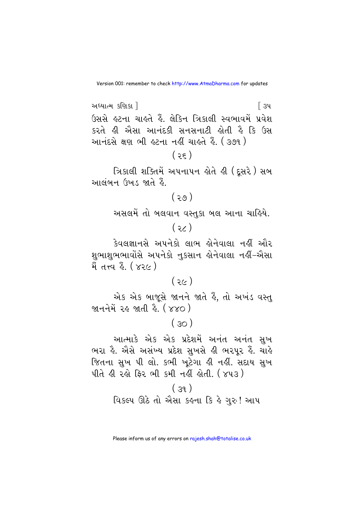$$
(\mathfrak{z}\mathfrak{z})
$$

ત્રિકાલી શક્તિમેં અપનાપન હોતે હી (દૂસરે ) સબ આલંબન ઉખડ જાતે હૈ.

 $(50)$ 

અસલમેં તો બલવાન વસ્તુકા બલ આના ચાહિયે.

 $(35)$ 

કેવલજ્ઞાનસે અપનેકો લાભ કોનેવાલા નકીં ઔર મેં તત્ત્વ ફે. ( ૪૨૯ )

#### $(3c)$

એક એક બાજૂસે જાનને જાતે હૈં, તો અખંડ વસ્ત જાનનેમેં રહ જાતી હૈ. (૪૪૦)

 $(30)$ 

આત્માકે એક એક પ્રદેશમેં અનંત અનંત સખ ભરા હૈ. ઐસે અસંખ્ય પ્રદેશ સુખસે હી ભરપુર હૈં. ચાહે જિતના સખ પી લો. કભી ખટેગા હી નહીં. સદાય સખ પીતે હી રહો ફિર ભી કમી નહીં હોતી. ( ૪૫૩ )

 $(39)$ વિકલ્પ ઊઠે તો ઐસા કહના કિ હે ગુરુ! આપ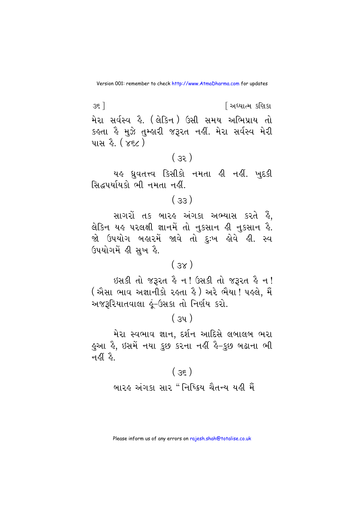$35$ ] <u>શિધ્યાત્મ કશિકા</u> મેરા સર્વસ્વ કે. (લેકિન) ઉસી સમય અભિપ્રાય તો કહતા હૈ મુઝે તુમ્હારી જરૂરત નહીં. મેરા સર્વસ્વ મેરી પાસ *કે. (xεc)* 

## $(33)$

યહ ધ્રુવતત્ત્વ કિસીકો નમતા હી નહીં. ખુદકી સિદ્ધપર્યાયકો ભી નમતા નહીં

## $(.33)$

સાગરો તક બારહ અંગકા અભ્યાસ કરતે હૈં, લેકિન યહ પરલક્ષી જ્ઞાનમેં તો નુકસાન હી નુકસાન હૈ. જો ઉપયોગ બહારમેં જાવે તો દુઃખ હોવે *હી*. સ્વ ઉપયોગમેં ક્રી સુખ કે.

#### $(x<sub>E</sub>)$

ઇસકી તો જરૂરત હૈ ન! ઉસકી તો જરૂરત હૈ ન! ( ઐસા ભાવ અજ્ઞાનીકો રહતા હૈ ) અરે ભૈયા ! પહલે, મૈં અજરૂરિયાતવાલા કું-ઉસકા તો નિર્ણય કરો.

## $(x_3)$

મેરા સ્વભાવ જ્ઞાન, દર્શન આદિસે લબાલબ ભરા ફઆ ફે, ઇસમેં નયા કુછ કરના નહીં ફે-કુછ બઢાના ભી નહીં હૈ.

## $(35)$

બારહ અંગકા સાર " નિષ્ક્રિય ચૈતન્ય યહી મૈં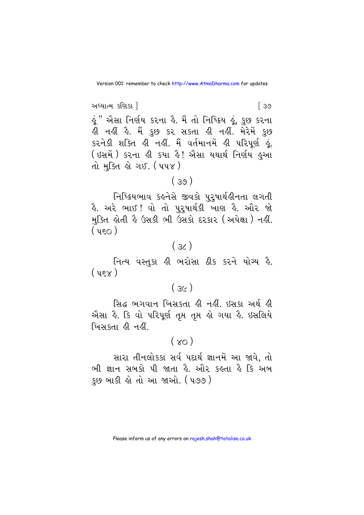અધ્યાત્મ કણિકા ! [ ૩૭ ઢું " ઐસા નિર્ણય કરના હૈ. મૈં તો નિષ્ક્રિય ઢૂં, કુછ કરના હી નહીં હૈ. મૈં કુછ કર સકતા હી નહીં. મેરેમેં <u>કુ</u>છ કરનેકી શક્તિ હી નહીં. મૈં વર્તમાનમેં હી પરિપૂર્ણ હું. ( ઇસમેં ) કરના હી કયા હૈ! ઐસા યથાર્થ નિર્ણય હુઆ તો મક્તિ હો ગઈ. (૫૫૪)

## $(39)$

નિષ્ક્રિયભાવ કહનેસે જીવકો પુરૂષાર્થહીનતા લગતી હૈ. અરે ભાઈ!વો તો પુરુષાર્થકી ખાણ હૈ. ઔર જો મુક્તિ હોતી હૈ ઉસકી ભી ઉસકો દરકાર (અપેક્ષા) નહીં.  $($  450)

## $(36)$

નિત્ય વસ્તુકા હી ભરોસા ઠીક કરને યોગ્ય હૈ.  $($  4 $\epsilon$  $\times$   $)$ 

## $(3c)$

સિદ્ધ ભગવાન ખિસકતા હી નહીં. ઇસકા અર્થ હી એસા હૈ. કિ વો પરિપૂર્ણ તૃપ્ત તૃપ્ત હો ગયા હૈ. ઇસલિયે ખિસકતા હી નહીં

## $(\times$

સારા તીનલોકકા સર્વ પદાર્થ જ્ઞાનમેં આ જાવે, તો ભી જ્ઞાન સબકો પી જાતા કે. ઓર કહતા કે કિ અબ કુછ બાકી હો તો આ જાઓ. (૫૭૭)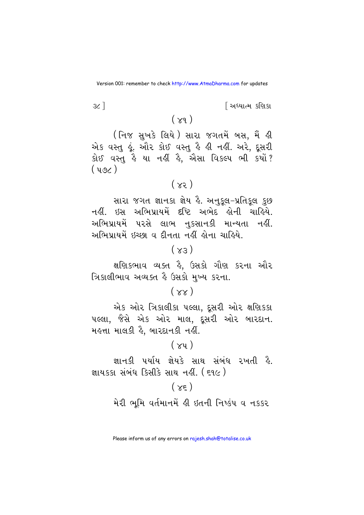<u>શિધ્યાત્મ કશિકા</u>

#### $(\gamma_9)$

 $3c$ ]

( निજ સુખકે લિયે) સારા જગતમેં બસ, મૈં હી એક વસ્તુ હૂં. ઔર કોઈ વસ્તુ હૈ હી નહીં. અરે, દૂસરી કોઈ વસ્તુ કે યા નક્ષી કે, એસા વિકલ્પ ભી કર્યો?  $(496)$ 

## $(x)$

સારા જગત જ્ઞાનકા જ્ઞેય હૈ. અનુકૂલ-પ્રતિકૂલ કુછ નહીં. ઇસ અભિપ્રાયમેં દષ્ટિ અભેદ હોની ચાહિયે. અભિપ્રાયમેં પરસે લાભ નુકસાનકી માન્યતા નહીં. અભિપ્રાયમેં ઇચ્છા વ દીનતા નહીં હોના ચાહિયે.

## $(x)$

ક્ષણિકભાવ વ્યક્ત હૈ. ઉસકો ગૌણ કરના ઔર ત્રિકાલીભાવ અવ્યક્ત કે ઉસકો મુખ્ય કરના.

#### $(xx)$

એક ઓર ત્રિકાલીકા પલ્લા, દૂસરી ઓર ક્ષણિકકા પલ્લા, જૈસે એક ઓર માલ, દૂસરી ઓર બારદાન. મહત્તા માલકી હૈ. બારદાનકી નહીં.

### $(\times$ u)

જ્ઞાનકી પર્યાય જ્ઞેયકે સાથ સંબંધ ૨ખતી હૈ. જ્ઞાયકકા સંબંધ કિસીકે સાથ નહીં. (૬૧૯)

#### $(\times \epsilon)$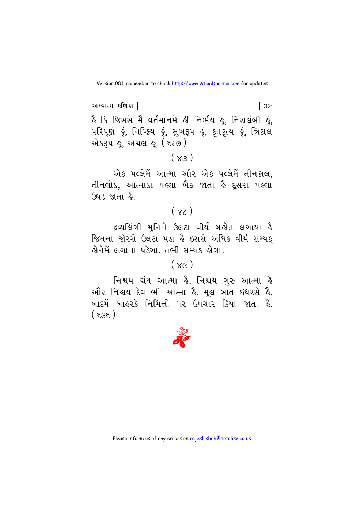અધ્યાત્મ કણિકા !  $\sqrt{3}$ કૈ કિ જિસસે મૈં વર્તમાનમેં ક્રી નિર્ભય હૂં, નિરાલંબી હું, ૫રિપૂર્ણ હૂં, નિષ્ક્રિય હૂં, સુખરૂ૫ હૂં, કૃતકૃત્ય હૂં, ત્રિકાલ એકરૂપ હૂં, અચલ હૂં. ( ૬૨૭ )

## $(\gamma_9)$

એક પલ્લેમેં આત્મા ઔર એક પલ્લેમેં તીનકાલ, તીનલોક. આત્માકા પલ્લા બૈઠ જાતા હૈ દસરા પલ્લા ઉઘડ જાતા હૈ.

## $(x<sub>0</sub>)$

દ્રવ્યલિંગી મુનિને ઉલટા વીર્ય બહોત લગાયા હૈ જિતના જોરસે ઉલટા ૫ડા કે ઇસસે અધિક વીર્ય સમ્યક્ હોનેમેં લગાના પડેગા. તભી સમ્યક હોગા.

## $(xc)$

નિશ્ચય ગ્રંથ આત્મા ક્રે, નિશ્ચય ગુરુ આત્મા ક્રે ઔર નિશ્ચય દેવ ભી આત્મા હૈ. મૂલ બાત ઇધરસે હૈ. બાદમેં બાહરકે નિમિત્તો પર ઉપચાર કિયા જાતા હૈ.  $(555)$ 

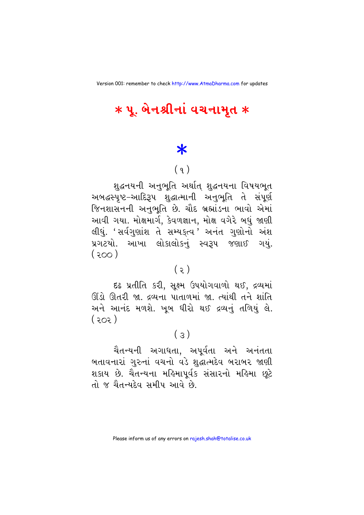## $*$  પૂ. બેનશ્રીનાં વચનામૃત  $*$

## $\ast$

## $(9)$

શદ્ધનયની અનભતિ અર્થાત શદ્ધનયના વિષયભત અબદ્ધસ્પૃષ્ટ–આદિરૂપ શુદ્ધાત્માની અનુભૂતિ તે સંપૂર્ણ જિનશાસનની અનુભૂતિ છે. ચૌદ બ્રહ્માંડના ભાવો એમાં આવી ગયા. મોક્ષમાર્ગ, કેવળજ્ઞાન, મોક્ષ વગેરે બધું જાણી લીધું. 'સર્વગુણાંશ તે સમ્યક્ત્વ 'અનંત ગુણોનો અંશ પ્રગટયો. આખા લોકાલોકનં સ્વરૂપ જણાઈ ગયં.  $(500)$ 

#### $(5)$

દઢ પ્રતીતિ કરી, સુક્ષ્મ ઉપયોગવાળો થઈ, દ્રવ્યમાં ઊંડો ઊતરી જા. દ્રવ્યના પાતાળમાં જા. ત્યાંથી તને શાંતિ અને આનંદ મળશે. ખબ ધીરો થઈ દ્રવ્યનં તળિયં લે.  $(505)$ 

#### $(\mathcal{F})$

ચૈતન્યની અગાધતા, અપૂર્વતા અને અનંતતા બતાવનારાં ગુરુનાં વચનો વડે શુદ્ધાત્મદેવ બરાબર જાણી શકાય છે. ચૈતન્યના મહિમાપૂર્વક સંસારનો મહિમા છૂટે તો જ ચૈતન્યદેવ સમીપ આવે છે.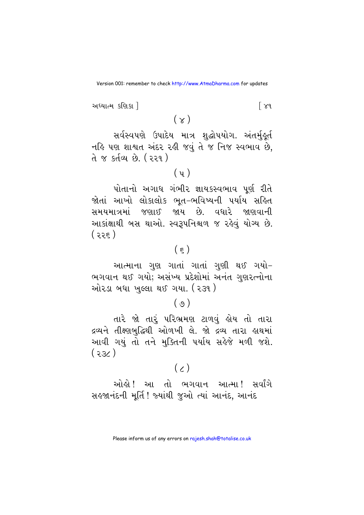અધ્યાત્મ કણિકા !

 $\lceil x_9 \rceil$ 

 $(\times)$ 

સર્વસ્વપણે ઉપાદેય માત્ર શુદ્ધોપયોગ. અંતર્મુ<mark>કૂર્ત</mark> નહિ પણ શાશ્વત અંદર રહી જવું તે જ નિજ સ્વભાવ છે. તે જ કર્તવ્ય છે. (૨૨૧)

## $(y)$

પોતાનો અગાધ ગંભીર જ્ઞાયકસ્વભાવ પૂર્ણ રીતે જોતાં આખો લોકાલોક ભૂત-ભવિષ્યની પર્યાય સહિત સમયમાત્રમાં જણાઈ જાય છે. વધારે જાણવાની આકાંક્ષાથી બસ થાઓ. સ્વરૂપનિશ્ચળ જ રહેવું યોગ્ય છે.  $(355)$ 

## $(\epsilon)$

આત્માના ગુણ ગાતાં ગાતાં ગુણી થઈ ગયો-ભગવાન થઈ ગયો; અસંખ્ય પ્રદેશોમાં અનંત ગુણરત્નોના ઓરડા બધા ખુલ્લા થઈ ગયા. (૨૩૧)

## $(\varphi)$

તારે જો તારૂં પરિભ્રમણ ટાળવું હોય તો તારા દ્રવ્યને તીક્ષ્ણબુદ્ધિથી ઓળખી લે. જો દ્રવ્ય તારા હાથમાં આવી ગયું તો તને મક્તિની પર્યાય સહેજે મળી જશે.  $(355)$ 

## $(2)$

ઓલો! આ તો ભગવાન આત્મા! સર્વાંગે સહજાનંદની મૂર્તિ ! જ્યાંથી જુઓ ત્યાં આનંદ, આનંદ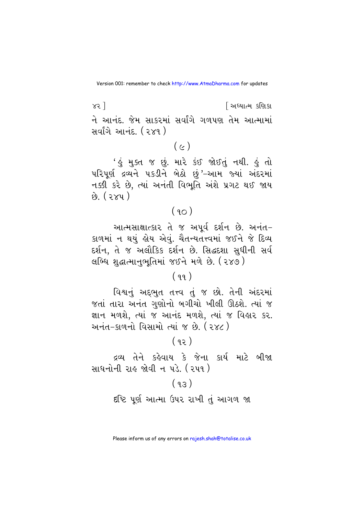$x3$ ] <u>શિધ્યાત્મ કશિકા</u> ને આનંદ. જેમ સાકરમાં સર્વાંગે ગળપણ તેમ આત્મામાં સર્વાંગે આનંદ. ( ૨૪૧ )

## $(c)$

' હું મુક્ત જ છું. મારે કંઈ જોઈતું નથી. હું તો પરિપૂર્ણ દ્રવ્યને ૫કડીને બેઠો છું'-આમ જ્યાં અંદરમાં નક્કી કરે છે, ત્યાં અનંતી વિભૂતિ અંશે પ્રગટ થઈ જાય  $\hat{p}$   $(3x4)$ 

## $(90)$

આત્મસાક્ષાત્કાર તે જ અપૂર્વ દર્શન છે. અનંત-કાળમાં ન થયું હોય એવું. ચૈતન્યતત્ત્વમાં જઈને જે દિવ્ય દર્શન, તે જ અલૌકિક દર્શન છે. સિદ્ધદશા સુધીની સર્વ લબ્ધિ શદ્ધાત્માનભતિમાં જઈને મળે છે. (૨૪૭)

#### $(99)$

વિશ્વનું અદ્દભુત તત્ત્વ તું જ છો. તેની અંદરમાં જતાં તારા અનંત ગુણોનો બગીચો ખીલી ઊઠશે. ત્યાં જ જ્ઞાન મળશે, ત્યાં જ આનંદ મળશે, ત્યાં જ વિહાર કર. અનંત-કાળનો વિસામો ત્યાં જ છે. (૨૪૮)

#### $(95)$

દ્રવ્ય તેને કહેવાય કે જેના કાર્ય માટે બીજા સાધનોની રાહ જોવી ન પડે. (૨૫૧)

## $(93)$

દૃષ્ટિ પૂર્ણ આત્મા ઉપર રાખી તું આગળ જા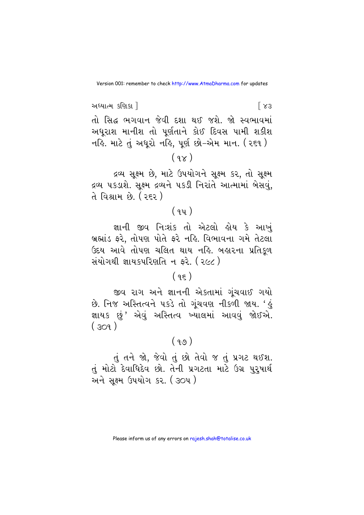અધ્યાત્મ કણિકા !  $[X3]$ તો સિદ્ધ ભગવાન જેવી દશા થઈ જશે. જો સ્વભાવમાં અધૂરાશ માનીશ તો પૂર્ણતાને કોઈ દિવસ પામી શકીશ નહિ. માટે તું અધુરો નહિ, પૂર્ણ છો-એમ માન. (૨૬૧ )  $(9x)$ 

દ્રવ્ય સૂક્ષ્મ છે, માટે ઉપયોગને સૂક્ષ્મ કર, તો સૂક્ષ્મ દ્રવ્ય પકડાશે. સક્ષ્મ દ્રવ્યને પકડી નિરાંતે આત્મામાં બેસવં. તે વિશ્રામ છે. ( ર૬૨ )

## $(9y)$

જ્ઞાની જીવ નિઃશંક તો એટલો હોય કે આખં બ્રહ્માંડ ફરે, તોપણ પોતે ફરે નહિ. વિભાવના ગમે તેટલા ઉદય આવે તોપણ ચલિત થાય નહિ. બહારના પ્રતિકુળ સંયોગથી જ્ઞાયકપરિણતિ ન કરે. ( ૨૯૮ )

## $(95)$

જીવ રાગ અને જ્ઞાનની એકતામાં ગુંચવાઈ ગયો છે. નિજ અસ્તિત્વને ૫કડે તો ગુંચવણ નીકળી જાય. 'હું જ્ઞાયક છું' એવું અસ્તિત્વ ખ્યાલમાં આવવું જોઈએ.  $(309)$ 

## $(99)$

તું તને જો, જેવો તું છો તેવો જ તું પ્રગટ થઈશ. તું મોટો દેવાધિદેવ છો. તેની પ્રગટતા માટે ઉગ્ર પુરૂષાર્થ અને સક્ષ્મ ઉપયોગ કર. (૩૦૫)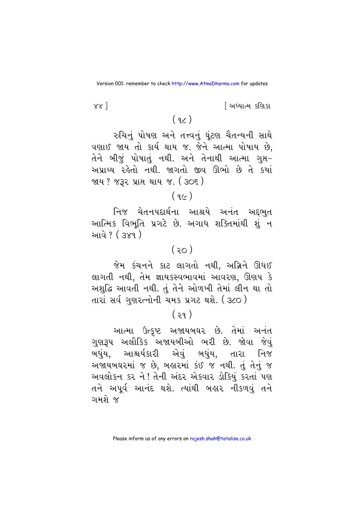<u>શિક્ષાત્મ કશિકા</u>

#### $881$

## $(q_{\mathcal{L}})$

રુચિનું પોષણ અને તત્ત્વનું ઘૂંટણ ચૈતન્યની સાથે વણાઈ જાય તો કાર્ય થાય જ. જેને આત્મા પોષાય છે, તેને બીજું પોષાતું નથી. અને તેનાથી આત્મા ગુપ્ત– અપ્રાપ્ય રહેતો નથી. જાગતો જીવ ઊભો છે તે કયાં જાય ? જરૂર પ્રાપ્ત થાય જ. ( ૩૦૬ )

### $(9c)$

નિજ ચેતનપદાર્થના આશ્રયે અનંત અદ્દભુત આત્મિક વિભૂતિ પ્રગટે છે. અગાધ શક્તિમાંથી શું ન આવે ? ( ૩૪૧ )

## $(50)$

જેમ કંચનને કાટ લાગતો નથી. અગ્નિને ઊધઈ લાગતી નથી, તેમ જ્ઞાયકસ્વભાવમાં આવરણ, ઊણપ કે અશુદ્ધિ આવતી નથી. તું તેને ઓળખી તેમાં લીન થા તો તારાં સર્વ ગુણરત્નોની ચમક પ્રગટ થશે. ( ૩૮૦ )

## $(29)$

આત્મા ઉત્કૃષ્ટ અજાયબઘર છે. તેમાં અનંત <u>ગુણરૂપ અલૌકિક અજાયબીઓ ભરી છે. જોવા જેવું</u> બધુંય, આશ્ચર્યકારી એવું બધુંય, તારા નિજ અજાયબઘરમાં જ છે, બહારમાં કંઈ જ નથી. તું તેનું જ અવલોકન કર ને ! તેની અંદર એકવાર ડોકિયું કરતાં પણ તને અપૂર્વ આનંદ થશે. ત્યાંથી બહાર નીકળવું તને ગમશે જ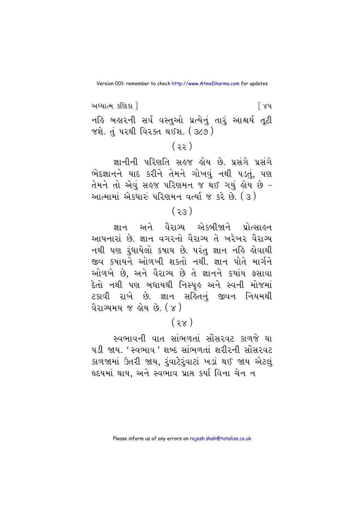અધ્યાત્મ કણિકા ! િ ૪૫ નહિ બહારની સર્વ વસ્તુઓ પ્રત્યેનું તારું આશ્ચર્ય તૂટી જશે. તું પરથી વિરક્ત થઈશ. ( ૩૮૭ )

 $(35)$ 

જ્ઞાનીની પરિણતિ સહજ હોય છે. પ્રસંગે પ્રસંગે ભેદજ્ઞાનને યાદ કરીને તેમને ગોખવું નથી પડતું, પણ તેમને તો એવં સહજ પરિણમન જ થઈ ગયું હોય છે – આત્મામાં એકધારું પરિણમન વર્ત્યા જ કરે છે. (૩)

## $(55)$

જ્ઞાન અને વૈરાગ્ય એકબીજાને પ્રોત્સાહન આપનારાં છે. જ્ઞાન વગરનો વૈરાગ્ય તે ખરેખર વૈરાગ્ય નથી પણ રૂંધાયેલો કપાય છે. પરંતુ જ્ઞાન નહિ હોવાથી જીવ કપાયને ઓળખી શકતો નથી. જ્ઞાન પોતે માર્ગને ઓળખે છે, અને વૈરાગ્ય છે તે જ્ઞાનને કચાંય ફસાવા દેતો નથી પણ બધાયથી નિસ્પૃઙ અને સ્વની મોજમા<mark>ં</mark> ટકાવી રાખે છે. જ્ઞાન સહિતનું જીવન નિયમથી વૈરાગ્યમય જ લોય છે. ( ૪ )

## $(x\xi)$

સ્વભાવની વાત સાંભળતાં સોંસરવટ કાળજે ઘા ૫ડી જાય. 'સ્વભાવ ' શબ્દ સાંભળતાં શરીરની સોંસરવટ કાળજામાં ઉતરી જાય, રૂંવાટેરૂંવાટાં ખડાં થઈ જાય એટલું હૃદયમાં થાય, અને સ્વભાવ પ્રાપ્ત કર્યા વિના ચેન ન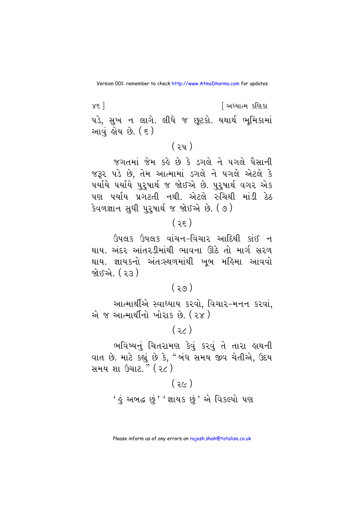$x_{\xi}$ ] <u>શિક્ષાત્મ કશિકા</u> ૫ડે, સુખ ન લાગે. લીધે જ છૂટકો. યથાર્થ ભૂમિકામાં આવં શેય છે. ( ૬ )

જગતમાં જેમ કહે છે કે ડગલે ને પગલે પૈસાની જરૂર પડે છે, તેમ આત્મામાં ડગલે ને પગલે એટલે કે પર્યાયે પર્યાયે પુરૂષાર્થ જ જોઈએ છે. પુરુષાર્થ વગર એક પણ પર્યાય પ્રગટતી નથી. એટલે રુચિથી માંડી ઠેઠ કેવળજ્ઞાન સુધી પુરુષાર્થ જ જોઈએ છે. (૭)

## $(3\varepsilon)$

ઉપલક ઉપલક વાંચન-વિચાર આદિથી કાંઈ ન થાય. અંદર આંતરડીમાંથી ભાવના ઊઠે તો માર્ગ સરળ થાય. જ્ઞાયકનો અંતઃસ્થળમાંથી ખબ મહિમા આવવો જોઈએ. ( ૨૩ )

#### $(99)$

આત્માર્થીએ સ્વાધ્યાય કરવો, વિચાર-મનન કરવાં, એ જ આત્માર્થીનો ખોરાક છે. (૨૪)

 $(35)$ 

ભવિષ્યનું ચિતરામણ કેવું કરવું તે તારા હાથની વાત છે. માટે કહ્યું છે કે, "બંધ સમય જીવ ચેતીએ, ઉદય સમય શા ઉચાટ." (2c)

> $(36)$ <u>' હું</u> અબદ્ધ છું ' 'જ્ઞાયક છું ' એ વિકલ્પો પણ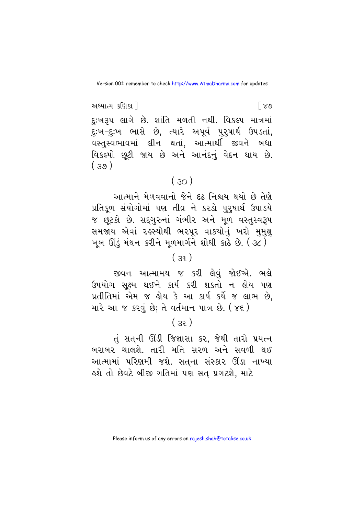અધ્યાત્મ કણિકા !  $\lceil 89 \rceil$ દુ:ખરૂપ લાગે છે. શાંતિ મળતી નથી. વિકલ્પ માત્રમાં દુ:ખ-દુ:ખ ભાસે છે, ત્યારે અપૂર્વ પુરૂષાર્થ ઉપડતાં, વસ્તુસ્વભાવમાં લીન થતાં, આત્માર્થી જીવને બધા વિકલ્પો છૂટી જાય છે અને આનંદનું વેદન થાય છે.  $(30)$ 

#### $(30)$

આત્માને મેળવવાનો જેને દઢ નિશ્ચય થયો છે તેણે પ્રતિકૂળ સંયોગોમાં પણ તીવ્ર ને કરડો પુરૂષાર્થ ઉપાડયે જ છૂટકો છે. સદ્ગુરુનાં ગંભીર અને મૂળ વસ્તુસ્વરૂપ સમજાય એવાં રહસ્યોથી ભરપુર વાકયોનું ખરો મુમુક્ષ ખૂબ ઊંડું મંથન કરીને મુળમાર્ગને શોધી કાઢે છે. (૩૮)

#### $(39)$

જીવન આત્મામય જ કરી લેવું જોઈએ. ભલે ઉપયોગ સક્ષ્મ થઈને કાર્ય કરી શકતો ન હોય પણ પ્રતીતિમાં એમ જ હોય કે આ કાર્ય કર્યે જ લાભ છે, મારે આ જ કરવં છે; તે વર્તમાન પાત્ર છે. ( ૪૬ )

#### $(32)$

તું સતની ઊંડી જિજ્ઞાસા કર, જેથી તારો પ્રયત્ન બરાબર ચાલશે. તારી મતિ સરળ અને સવળી થઈ આત્મામાં પરિણમી જશે. સત્ના સંસ્કાર ઊંડા નાખ્યા ઙશે તો છેવટે બીજી ગતિમાં પણ સત પ્રગટશે, માટે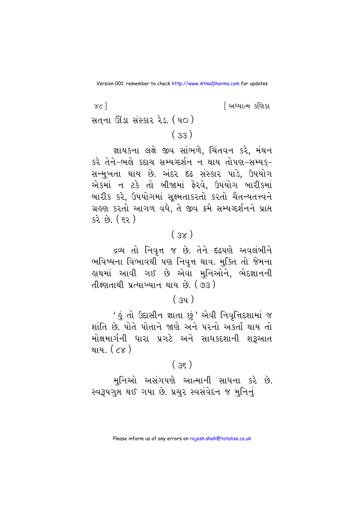$\chi$  $\sim$   $\sim$ <u>શિધ્યાત્મ કશિકા</u> સતના ઊંડા સંસ્કાર રેડ. (૫૦)  $(33)$ 

જ્ઞાયકના લક્ષે જીવ સાંભળે, ચિંતવન કરે, મંથન કરે તેને-ભલે કદાચ સમ્યગ્દર્શન ન થાય તોપણ-સમ્યક્-સન્મુખતા થાય છે. અંદર દઢ સંસ્કાર પાડે, ઉપયોગ એકમાં ન ટકે તો બીજામાં ફેરવે. ઉપયોગ બારીકમાં બારીક કરે, ઉપયોગમાં સૂક્ષ્મતાકરતો કરતો ચૈતન્યતત્ત્વને ગ્રહણ કરતો આગળ વધે, તે જીવ ક્રમે સમ્યગ્દર્શનને પ્રાપ્ત  $52.69.$  ( $52.$ )

## $(sx)$

દ્રવ્ય તો નિવૃત્ત જ છે. તેને દઢપણે અવલંબીને ભવિષ્યના વિભાવથી પણ નિવત્ત થાવ. મક્તિ તો જેમના હાથમાં આવી ગઈ છે એવા મુનિઓને, ભેદજ્ઞાનની તીક્ષ્ણતાથી પ્રત્યાખ્યાન થાય છે. (93)

## $(3y)$

' હું તો ઉદાસીન જ્ઞાતા છું ' એવી નિવૃત્તિદશામાં જ શાંતિ છે પોતે પોતાને જાણે અને પરનો અકર્તા થાય તો મોક્ષમાર્ગની ધારા પ્રગટે અને સાધકદશાની શરૂઆત થાય. ( ૮૪ )

## $(35)$

મુનિઓ અસંગપણે આત્માની સાધના કરે છે. સ્વરૂપગુપ્ત થઈ ગયા છે. પ્રચુર સ્વસંવેદન જ મુનિનું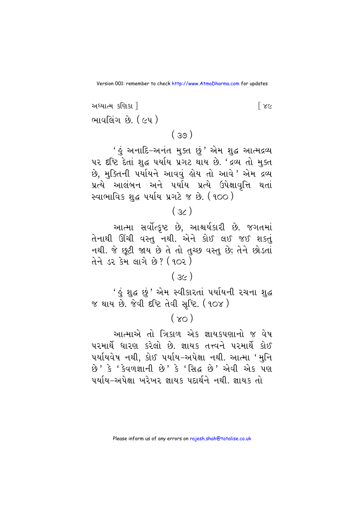અધ્યાત્મ કશિકા 1  $\sqrt{2}$ ભાવલિંગ છે. ( ૯૫ )

 $(39)$ 

' હું અનાદિ-અનંત મુક્ત છું ' એમ શુદ્ધ આત્મદ્રવ્ય ૫૨ દૃષ્ટિ દેતાં શુદ્ધ ૫ર્યાય પ્રગટ થાય છે. 'દ્રવ્ય તો મુક્ત છે, મુક્તિની પર્યાયને આવવું હોય તો આવે ' એમ દ્રવ્ય પ્રત્યે આલંબન અને પર્યાય પ્રત્યે ઉપેક્ષાવૃત્તિ થતાં સ્વાભાવિક શુદ્ધ પર્યાય પ્રગટે જ છે. (૧૦૦)

 $(x)$ 

આત્મા સર્વોત્કૃષ્ટ છે, આશ્ચર્યકારી છે. જગતમાં તેનાથી ઊંચી વસ્તુ નથી. એને કોઈ લઈ જઈ શકતું નથી. જે છૂટી જાય છે તે તો તુચ્છ વસ્તુ છે; તેને છોડતાં તેને ડર કેમ લાગે છે? (902)

#### $(3c)$

' હું શુદ્ધ છું ' એમ સ્વીકારતાં પર્યાયની રચના શુદ્ધ જ થાય છે. જેવી દષ્ટિ તેવી સુષ્ટિ. (90૪)

#### $(x_0)$

આત્માએ તો ત્રિકાળ એક જ્ઞાયકપણાનો જ વેષ પરમાર્થે ધારણ કરેલો છે. જ્ઞાયક તત્ત્વને પરમાર્થે કોઈ પર્યાયવેષ નથી, કોઈ પર્યાય-અપેક્ષા નથી. આત્મા 'મુનિ છે ' કે ' કેવળજ્ઞાની છે ' કે ' સિદ્ધ છે ' એવી એક પણ પર્યાય-અપેક્ષા ખરેખર જ્ઞાયક પદાર્થને નથી. જ્ઞાયક તો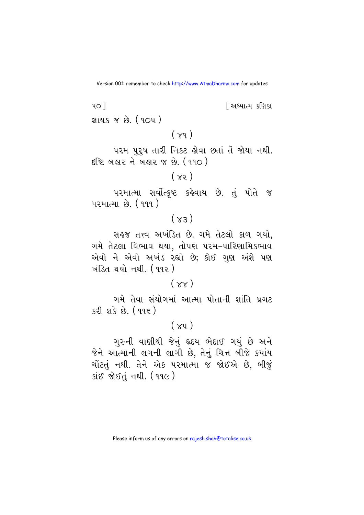<u>શિધ્યાત્મ કશિકા</u>

જ્ઞાયક જ છે. ( ૧૦૫ )

 $401$ 

 $(\times q)$ 

પરમ પુરૂષ તારી નિકટ હોવા છતાં તેં જોયા નથી. દષ્ટિ બહાર ને બહાર જ છે. (૧૧૦)

 $(x)$ 

પરમાત્મા સર્વોત્કૃષ્ટ કહેવાય છે. તું પોતે જ પરમાત્મા છે. (૧૧૧)

## $(x_3)$

સહજ તત્ત્વ અખંડિત છે. ગમે તેટલો કાળ ગયો, ગમે તેટલા વિભાવ થયા, તોપણ પરમ-પારિણામિકભાવ એવો ને એવો અખંડ રહ્યો છે; કોઈ ગુણ અંશે પણ <u>ખંડિત થયો નથી</u> (૧૧૨)

#### $(xx)$

ગમે તેવા સંયોગમાં આત્મા પોતાની શાંતિ પ્રગટ કરી શકે છે. (૧૧૬)

### $(xy)$

ગુરુની વાણીથી જેનું હૃદય ભેદાઈ ગયું છે અને જેને આત્માની લગની લાગી છે. તેનું ચિત્ત બીજે કયાંય ચોંટતું નથી. તેને એક પરમાત્મા જ જોઈએ છે, બીજું કાંઈ જોઈતું નથી. (૧૧૯)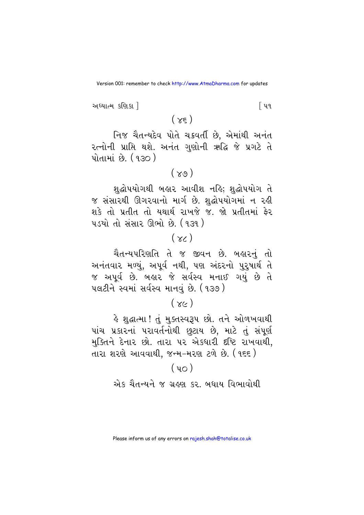અધ્યાત્મ કશિકા ી િપવ

 $(\times \epsilon)$ 

નિજ ચૈતન્યદેવ પોતે ચક્રવર્તી છે, એમાંથી અનંત રત્નોની પ્રાપ્તિ થશે. અનંત ગુણોની ઋદ્ધિ જે પ્રગટે તે <u>પોતામાં છે. (૧૩૦)</u>

 $(\times 9)$ 

શદ્ધોપયોગથી બહાર આવીશ નહિ; શદ્ધોપયોગ તે જ સંસારથી ઊગરવાનો માર્ગ છે. શુદ્ધોપયોગમાં ન રહી શકે તો પ્રતીત તો યથાર્થ રાખજે જ. જો પ્રતીતમાં ફેર ૫ડયો તો સંસાર ઊભો છે. (૧૩૧)

## $(x)$

<mark>ચૈતન્યપરિણતિ તે જ જીવન છે. બ</mark>હારનું તો અનંતવાર મળ્યું, અપૂર્વ નથી, પણ અંદરનો પુરૂષાર્થ તે જ અપૂર્વ છે. બહાર જે સર્વસ્વ મનાઈ ગયું છે તે पલટીને સ્વમાં સર્વસ્વ માનવું છે. (૧૩૭)

## $(xc)$

હે શુદ્ધાત્મા! તું મુક્તસ્વરૂપ છો. તને ઓળખવાથી પાંચ પ્રકારનાં પરાવર્તનોથી છૂટાય છે, માટે તું સંપૂર્ણ મુક્તિને દેનાર છો. તારા ૫૨ એકધારી દૃષ્ટિ રાખવાથી. તારા શરણે આવવાથી, જન્મ-મરણ ટળે છે. (૧૬૬)

#### $(y<sub>O</sub>)$

એક ચૈતન્યને જ ગ્રહણ કર. બધાય વિભાવોથી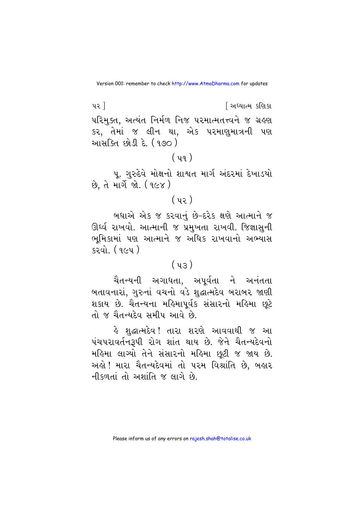$42<sup>1</sup>$ <u>શિધ્યાત્મ કશિકા</u> પરિમુક્ત, અત્યંત નિર્મળ નિજ પરમાત્મતત્ત્વને જ ગ્રહણ કર, તેમાં જ લીન થા, એક પરમાણુમાત્રની પણ <u>આસક્તિ છોડી દે. (૧૭૦)</u>

## $(y_9)$

પૂ. ગુરુદેવે મોક્ષનો શાશ્વત માર્ગ અંદરમાં દેખાડયો છે. તે માર્ગે જો. (૧૯૪)

## $(y_2)$

બધાએ એક જ કરવાનું છે-દરેક ક્ષણે આત્માને જ ઊર્ધ્વ રાખવો. આત્માની જ પ્રમુખતા રાખવી. જિજ્ઞાસુની ભૂમિકામાં પણ આત્માને જ અધિક રાખવાનો અભ્યાસ કરવો. (*૧૯૫*)

#### $(y3)$

ચૈતન્યની અગાધતા. અપર્વતા ને અનંતતા બતાવનારાં, ગુરુનાં વચનો વડે શુદ્ધાત્મદેવ બરાબર જાણી શકાય છે. ચૈતન્યના મહિમાપૂર્વક સંસારનો મહિમા છૂટે તો જ ચૈતન્યદેવ સમીપ આવે છે.

હે શુદ્ધાત્મદેવ! તારા શરણે આવવાથી જ આ પંચપરાવર્તનરૂપી રોગ શાંત થાય છે. જેને ચૈતન્યદેવનો મહિમા લાગ્યો તેને સંસારનો મહિમા છૂટી જ જાય છે. અલ્રો ! મારા ચૈતન્યદેવમાં તો ૫૨મ વિશ્રાંતિ છે, બલ્રાર નીકળતાં તો અશાંતિ જ લાગે છે.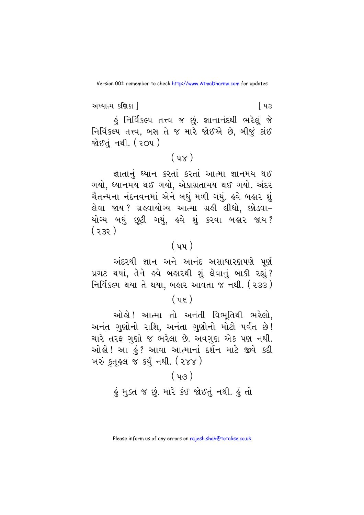અધ્યાત્મ કણિકા ! િપ૩ હું નિર્વિકલ્પ તત્ત્વ જ છું. જ્ઞાનાનંદથી ભરેલું જે નિર્વિકલ્પ તત્ત્વ, બસ તે જ મારે જોઈએ છે, બીજું કાંઈ જોઈતંનથી. (૨૦૫)

## $(y \times)$

જ્ઞાતાનું ધ્યાન કરતાં કરતાં આત્મા જ્ઞાનમય થઈ ગયો, ઘ્યાનમય થઈ ગયો, એકાગ્રતામય થઈ ગયો. અંદર ચૈતન્યના નંદનવનમાં એને બધું મળી ગયું. હવે બહાર શું લેવા જાય ? ગ્રઙ્વાયોગ્ય આત્મા ગ્રહી લીધો, છોડવા− યોગ્ય બધું છુટી ગયું, હવે શું કરવા બહાર જાય?  $(335)$ 

## $(yy)$

અંદરથી જ્ઞાન અને આનંદ અસાધારણપણે પર્ણ પ્રગટ થયાં, તેને હવે બહારથી શું લેવાનું બાકી રહ્યું? નિર્વિકલ્પ થયા તે થયા, બહાર આવતા જ નથી. ( ર૩૩ )

#### $( \; u \in )$

ઓલો! આત્મા તો અનંતી વિભતિથી ભરેલો. અનંત ગણોનો રાશિ. અનંતા ગણોનો મોટો પર્વત છે! ચારે તરફ ગણો જ ભરેલા છે. અવગણ એક પણ નથી. ઓલો ! આ હું ? આવા આત્માનાં દર્શન માટે જીવે કદી ખરું કુતુલ્લ જ કર્યું નથી. (૨૪૪)

## $(y_0)$ કું મુક્ત જ છું. મારે કંઈ જોઈતું નથી. કું તો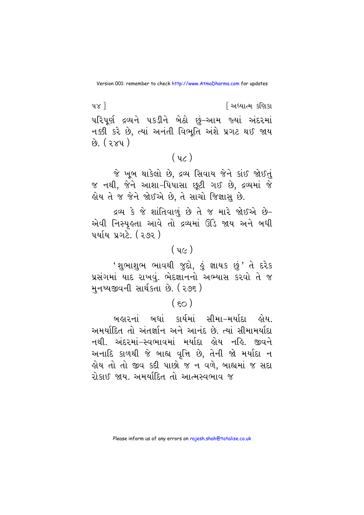$\nu \times 1$ <u>શિક્ષાત્મ કશિકા</u> પરિપર્ણ દ્રવ્યને પકડીને બેઠો છું–આમ જ્યાં અંદરમાં નક્કી કરે છે, ત્યાં અનંતી વિભૂતિ અંશે પ્રગટ થઈ જાય  $\hat{v}$   $(2xy)$ 

## $(yz)$

જે ખૂબ થાકેલો છે, દ્રવ્ય સિવાય જેને કાંઈ જોઈતું જ નથી, જેને આશા–પિપાસા છુટી ગઈ છે. દ્રવ્યમાં જે હોય તે જ જેને જોઈએ છે, તે સાચો જિજ્ઞાસુ છે.

દ્રવ્ય કે જે શાંતિવાળું છે તે જ મારે જોઈએ છે-એવી નિસ્પુલ્તા આવે તો દ્રવ્યમાં ઊંડે જાય અને બધી પર્યાય પ્રગટે. (૨૭૨ )

## $\left(\right.$   $\left.\right.$   $\left(\right.$   $\left.\right.$   $\left.\right.$   $\left(\right.$   $\left.\right.$   $\left.\right.$   $\left.\right.$   $\left(\right.$   $\left.\right.$   $\left.\right.$   $\left.\right.$   $\left.\right.$   $\left.\right.$   $\left.\right.$   $\left.\right.$   $\left.\right.$   $\left.\right.$   $\left.\right.$   $\left.\right.$   $\left.\right.$   $\left.\right.$   $\left.\right.$   $\left.\right.$   $\left.\right.$   $\left.\right.$   $\left.\right$

'શુભાશુભ ભાવથી જુદો, હું જ્ઞાયક છું' તે દરેક પ્રસંગમાં યાદ રાખવું. ભેદજ્ઞાનનો અભ્યાસ કરવો તે જ મુનષ્યજીવની સાર્થકતા છે. ( ૨૭૬ )

## $(50)$

<u>બહારનાં બધાં કાર્યમાં સીમા–મર્યાદા હોય.</u> અમર્યાદિત તો અંતર્જ્ઞાન અને આનંદ છે. ત્યાં સીમામર્યાદા નથી. અંદરમાં-સ્વભાવમાં મર્યાદા હોય નહિ. જીવને અનાદિ કાળથી જે બાહ્ય વૃત્તિ છે, તેની જો મર્યાદા ન હોય તો તો જીવ કદી પાછો જ ન વળે, બાહ્યમાં જ સદા રોકાઈ જાય. અમર્યાદિત તો આત્મસ્વભાવ જ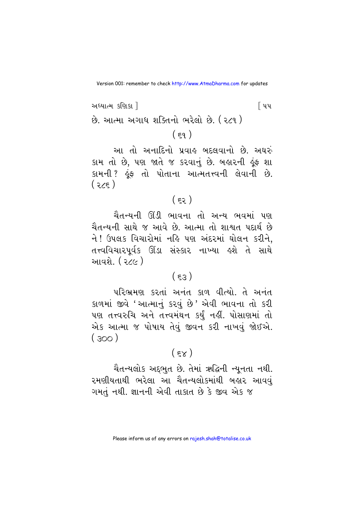અધ્યાત્મ કશિકા 1 ∫ પપ છે. આત્મા અગાધ શક્તિનો ભરેલો છે. (૨૮૧ )  $(59)$ 

આ તો અનાદિનો પ્રવાહ બદલવાનો છે. અઘરું કામ તો છે, પણ જાતે જ કરવાનું છે. બહારની હૂંફ શા કામની ? કૂંફ તો પોતાના આત્મતત્ત્વની લેવાની છે.  $(35)$ 

## $(55)$

ચૈતન્યની ઊંડી ભાવના તો અન્ય ભવમાં પણ ચૈતન્યની સાથે જ આવે છે. આત્મા તો શાશ્વત પદાર્થ છે ને ! ઉપલક વિચારોમાં નહિ પણ અંદરમાં ઘોલન કરીને, તત્ત્વવિચારપૂર્વક ઊંડા સંસ્કાર નાખ્યા હશે તે સાથે આવશે. ( ૨૮૯ )

#### $(53)$

પરિભ્રમણ કરતાં અનંત કાળ વીત્યો. તે અનંત કાળમાં જીવે 'આત્માનું કરવું છે' એવી ભાવના તો કરી પણ તત્ત્વરુચિ અને તત્ત્વમંથન કર્યું નહીં. પોસાણમાં તો એક આત્મા જ પોષાય તેવં જીવન કરી નાખવં જોઈએ.  $(300)$ 

#### $(5x)$

ચૈતન્યલોક અદ્દભુત છે. તેમાં ઋદ્ધિની ન્યુનતા નથી. રમણીયતાથી ભરેલા આ ચૈતન્યલોકમાંથી બહાર આવવં ગમતું નથી. જ્ઞાનની એવી તાકાત છે કે જીવ એક જ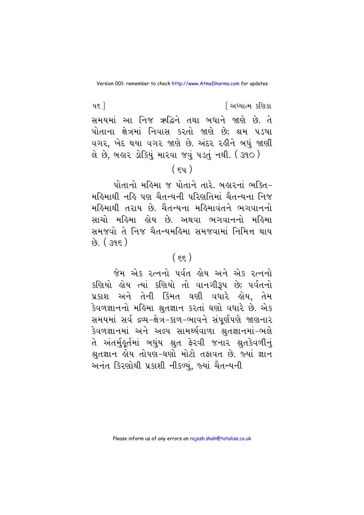પદ<sup>ી</sup> સાધ્યાત્મ કરિયાત સમયમાં આ નિજ ઋદ્ધિને તથા બધાને જાણે છે. તે પોતાના ક્ષેત્રમાં નિવાસ કરતો જાણે છે; શ્રમ પડયા વગર, ખેદ થયા વગર જાણે છે. અંદર રહીને બધું જાણી લે છે. બહાર ડોકિયું મારવા જવું ૫ડતું નથી. ( ૩૧૦ )

## $(\epsilon y)$

 $p$  under the solution of the set of  $p$  and  $p$  and  $p$  and  $p$  with  $p$ મહિમાથી નહિ પણ ચૈતન્યની પરિણતિમાં ચૈતન્યના નિજ મહિમાથી તરાય છે. ચૈતન્યના મહિમાવંતને ભગવાનનો સાચો મહિમા હોય છે. અથવા ભગવાનનો મહિમા સમજવો તે નિજ ચૈતન્યમહિમા સમજવામાં નિમિત્ત થાય  $k^{0}$ . (395)

## $(\epsilon \epsilon)$

જેમ એક રત્નનો પર્વત હોય અને એક રત્નનો કણિયો કોય ત્યાં કણિયો તો વાનગીરૂપ છે; પર્વતનો પ્રકાશ અને તેની કિંમત ઘણી વધારે કોય. તેમ કેવળજ્ઞાનનો મહિમા શ્રતજ્ઞાન કરતાં ઘણો વધારે છે. એક સમયમાં સર્વ દ્રવ્ય-ક્ષેત્ર-કાળ-ભાવને સંપર્ણપણે જાણનાર કેવળજ્ઞાનમાં અને અલ્પ સામર્થ્યવાળા શ્રુતજ્ઞાનમાં-ભલે તે અંતર્મુકૂર્તમાં બધુંય શ્રુત ફેરવી જનાર શ્રુતકેવળીનું શ્રુતજ્ઞાન હોય તોપણ-ઘણો મોટો તફાવત છે. જ્યાં જ્ઞાન અનંત કિરણોથી પ્રકાશી નીકળ્યું, જ્યાં ચૈતન્યની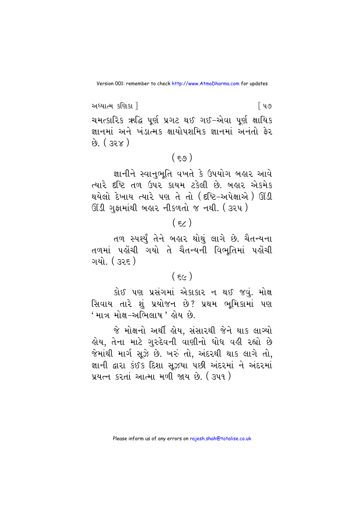અધ્યાત્મ કશિકા 1 િપ૭ ચમત્કારિક ઋદ્ધિ પૂર્ણ પ્રગટ થઈ ગઈ–એવા પૂર્ણ ક્ષાયિક જ્ઞાનમાં અને ખંડાત્મક ક્ષાયોપશમિક જ્ઞાનમાં અનંતો ફેર  $\hat{B}$ ,  $(32x)$ 

## $(59)$

જ્ઞાનીને સ્વાનુભૂતિ વખતે કે ઉપયોગ બહાર આવે ત્યારે દૃષ્ટિ તળ ઉપર કાયમ ટકેલી છે. બહાર એકમેક થયેલો દેખાય ત્યારે પણ તે તો (દષ્ટિ–અપેક્ષાએ ) ઊંડી ઊંડી ગુફામાંથી બહાર નીકળતો જ નથી. (3૨૫)

## $(\epsilon)$

તળ સ્પર્શ્ધુ તેને બહાર થોથું લાગે છે. ચૈતન્યના તળમાં પહોંચી ગયો તે ચૈતન્યની વિભતિમાં પહોંચી ગયો. ( ૩૨૬ )

## $(55)$

કોઈ પણ પ્રસંગમાં એકાકાર ન થઈ જવું. મોક્ષ સિવાય તારે શું પ્રયોજન છે? પ્રથમ ભૂમિકામાં પણ ' માત્ર મોક્ષ-અભિલાષ ' હોય છે.

જે મોક્ષનો અર્થી હોય, સંસારથી જેને થાક લાગ્યો હોય, તેના માટે ગુરુદેવની વાણીનો ધોધ વહી રહ્યો છે જેમાંથી માર્ગ સૂઝે છે. ખરું તો, અંદરથી થાક લાગે તો, જ્ઞાની દ્વારા કંઈક દિશા સઝયા પછી અંદરમાં ને અંદરમાં પ્રયત્ન કરતાં આત્મા મળી જાય છે. ( ૩૫૧ )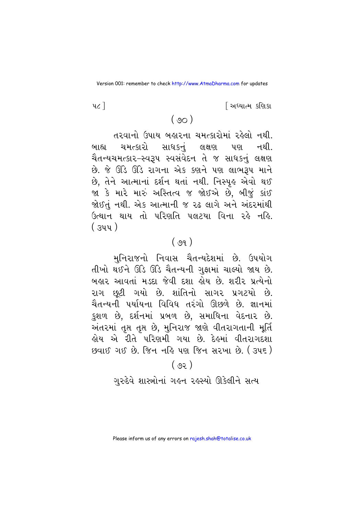<u>શિધ્યાત્મ કશિકા</u>

 $4c<sub>1</sub>$ 

#### $(90)$

તરવાનો ઉપાય બહારના ચમત્કારોમાં રહેલો નથી. ચમત્કારો સાધકનું લક્ષણ પણ નથી. બાહ્ય ચૈતન્યચમત્કાર-સ્વરૂપ સ્વસંવેદન તે જ સાધકનું લક્ષણ છે. જે ઊંડે ઊંડે રાગના એક કણને પણ લાભરૂપ માને છે. તેને આત્માનાં દર્શન થતાં નથી. નિસ્પુઙ એવો થઈ જા કે મારે મારું અસ્તિત્વ જ જોઈએ છે. બીજું કાંઈ જોઈતું નથી. એક આત્માની જ રઢ લાગે અને અંદરમાંથી ઉત્થાન થાય તો પરિણતિ પલટયા વિના રહે નહિ.  $(344)$ 

## $(99)$

મુનિરાજનો નિવાસ ચૈતન્યદેશમાં છે. ઉપયોગ તીખો થઈને ઊંડે ઊંડે ચૈતન્યની ગુફામાં ચાલ્યો જાય છે. બહાર આવતાં મડદા જેવી દશા હોય છે. શરીર પ્રત્યેનો રાગ છૂટી ગયો છે. શાંતિનો સાગર પ્રગટયો છે. ચૈતન્યની પર્યાયના વિવિધ તરંગો ઊછળે છે. જ્ઞાનમાં કુશળ છે, દર્શનમાં પ્રબળ છે, સમાધિના વેદનાર છે. અંતરમાં તૃપ્ત તૃપ્ત છે, મુનિરાજ જાણે વીતરાગતાની મૂર્તિ લોય એ રીતે પરિણમી ગયા છે. દેલ્રમાં વીતરાગદશા છવાઈ ગઈ છે. જિન નહિ પણ જિન સરખા છે. (345)

#### $(58)$

ગુરુદેવે શાસ્ત્રોનાં ગહન રહસ્યો ઊકેલીને સત્ય